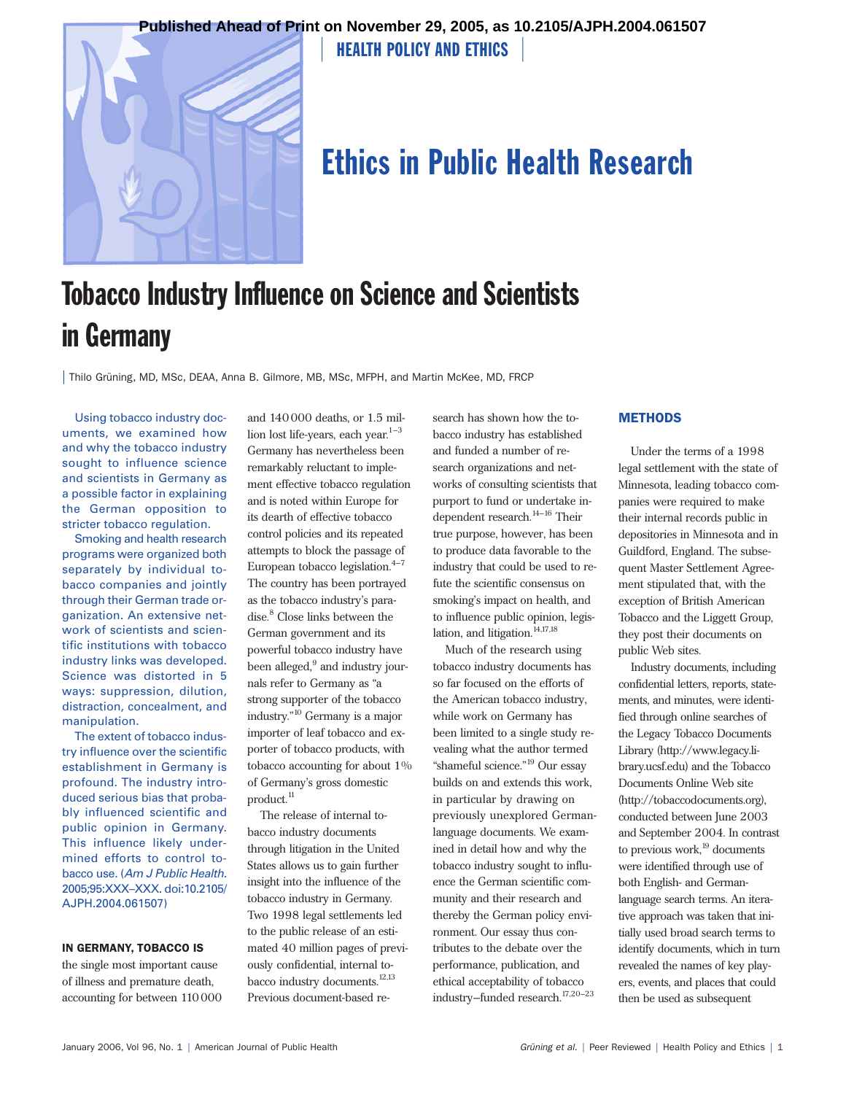



# Ethics in Public Health Research

# Tobacco Industry Influence on Science and Scientists in Germany

| Thilo Grüning, MD, MSc, DEAA, Anna B. Gilmore, MB, MSc, MFPH, and Martin McKee, MD, FRCP

Using tobacco industry documents, we examined how and why the tobacco industry sought to influence science and scientists in Germany as a possible factor in explaining the German opposition to stricter tobacco regulation.

Smoking and health research programs were organized both separately by individual tobacco companies and jointly through their German trade organization. An extensive network of scientists and scientific institutions with tobacco industry links was developed. Science was distorted in 5 ways: suppression, dilution, distraction, concealment, and manipulation.

The extent of tobacco industry influence over the scientific establishment in Germany is profound. The industry introduced serious bias that probably influenced scientific and public opinion in Germany. This influence likely undermined efforts to control tobacco use. (*Am J Public Health.* 2005;95:XXX–XXX. doi:10.2105/ AJPH.2004.061507)

### IN GERMANY, TOBACCO IS

the single most important cause of illness and premature death, accounting for between 110000

and 140000 deaths, or 1.5 million lost life-years, each year. $1-3$ Germany has nevertheless been remarkably reluctant to implement effective tobacco regulation and is noted within Europe for its dearth of effective tobacco control policies and its repeated attempts to block the passage of European tobacco legislation. $4-7$ The country has been portrayed as the tobacco industry's paradise.<sup>8</sup> Close links between the German government and its powerful tobacco industry have been alleged,<sup>9</sup> and industry journals refer to Germany as "a strong supporter of the tobacco industry."10 Germany is a major importer of leaf tobacco and exporter of tobacco products, with tobacco accounting for about 1% of Germany's gross domestic product.<sup>11</sup>

The release of internal tobacco industry documents through litigation in the United States allows us to gain further insight into the influence of the tobacco industry in Germany. Two 1998 legal settlements led to the public release of an estimated 40 million pages of previously confidential, internal tobacco industry documents.<sup>12,13</sup> Previous document-based research has shown how the tobacco industry has established and funded a number of research organizations and networks of consulting scientists that purport to fund or undertake independent research. $^{14-16}$  Their true purpose, however, has been to produce data favorable to the industry that could be used to refute the scientific consensus on smoking's impact on health, and to influence public opinion, legislation, and litigation.<sup>14,17,18</sup>

Much of the research using tobacco industry documents has so far focused on the efforts of the American tobacco industry, while work on Germany has been limited to a single study revealing what the author termed "shameful science."19 Our essay builds on and extends this work, in particular by drawing on previously unexplored Germanlanguage documents. We examined in detail how and why the tobacco industry sought to influence the German scientific community and their research and thereby the German policy environment. Our essay thus contributes to the debate over the performance, publication, and ethical acceptability of tobacco industry–funded research.17,20–23

### **METHODS**

Under the terms of a 1998 legal settlement with the state of Minnesota, leading tobacco companies were required to make their internal records public in depositories in Minnesota and in Guildford, England. The subsequent Master Settlement Agreement stipulated that, with the exception of British American Tobacco and the Liggett Group, they post their documents on public Web sites.

Industry documents, including confidential letters, reports, statements, and minutes, were identified through online searches of the Legacy Tobacco Documents Library (http://www.legacy.library.ucsf.edu) and the Tobacco Documents Online Web site (http://tobaccodocuments.org), conducted between June 2003 and September 2004. In contrast to previous work, $^{19}$  documents were identified through use of both English- and Germanlanguage search terms. An iterative approach was taken that initially used broad search terms to identify documents, which in turn revealed the names of key players, events, and places that could then be used as subsequent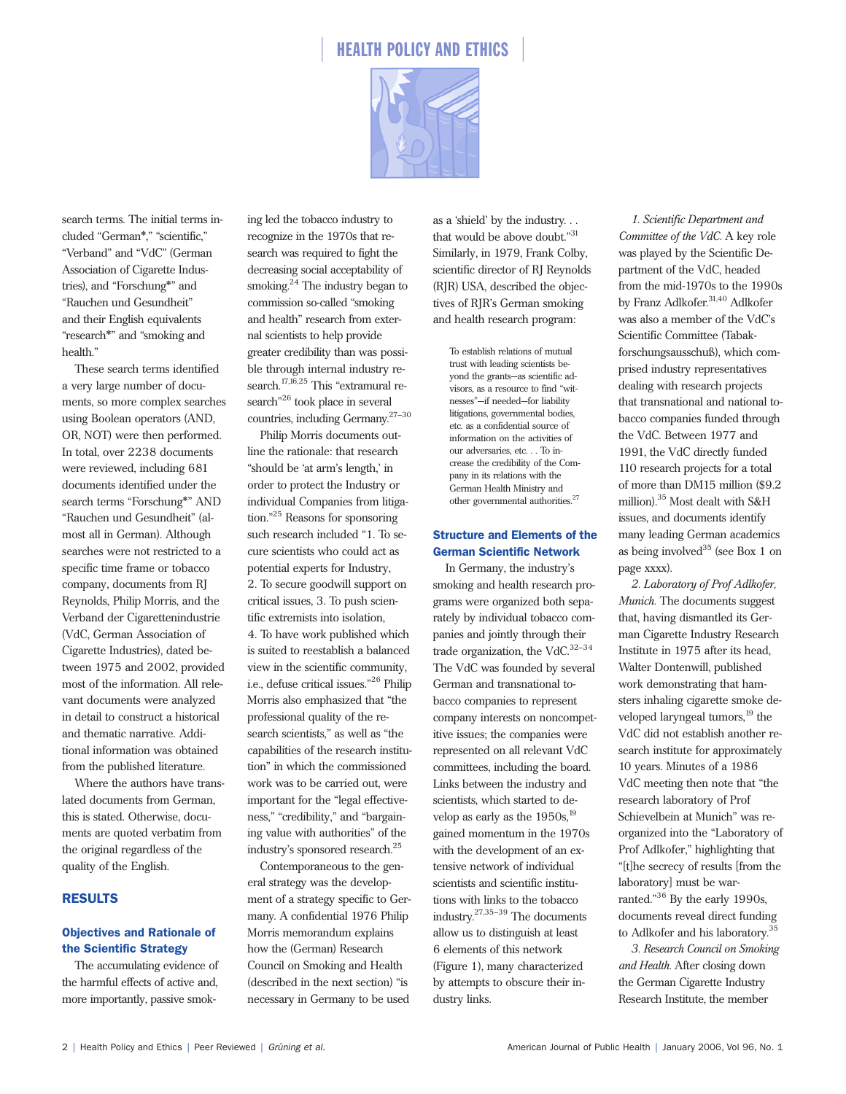



search terms. The initial terms included "German\*," "scientific," "Verband" and "VdC" (German Association of Cigarette Industries), and "Forschung\*" and "Rauchen und Gesundheit" and their English equivalents "research\*" and "smoking and health."

These search terms identified a very large number of documents, so more complex searches using Boolean operators (AND, OR, NOT) were then performed. In total, over 2238 documents were reviewed, including 681 documents identified under the search terms "Forschung\*" AND "Rauchen und Gesundheit" (almost all in German). Although searches were not restricted to a specific time frame or tobacco company, documents from RJ Reynolds, Philip Morris, and the Verband der Cigarettenindustrie (VdC, German Association of Cigarette Industries), dated between 1975 and 2002, provided most of the information. All relevant documents were analyzed in detail to construct a historical and thematic narrative. Additional information was obtained from the published literature.

Where the authors have translated documents from German, this is stated. Otherwise, documents are quoted verbatim from the original regardless of the quality of the English.

#### RESULTS

### Objectives and Rationale of the Scientific Strategy

The accumulating evidence of the harmful effects of active and, more importantly, passive smoking led the tobacco industry to recognize in the 1970s that research was required to fight the decreasing social acceptability of smoking. $24$  The industry began to commission so-called "smoking and health" research from external scientists to help provide greater credibility than was possible through internal industry research.<sup>17,16,25</sup> This "extramural research"<sup>26</sup> took place in several countries, including Germany.27–30

Philip Morris documents outline the rationale: that research "should be 'at arm's length,' in order to protect the Industry or individual Companies from litigation."25 Reasons for sponsoring such research included "1. To secure scientists who could act as potential experts for Industry, 2. To secure goodwill support on critical issues, 3. To push scientific extremists into isolation, 4. To have work published which is suited to reestablish a balanced view in the scientific community, i.e., defuse critical issues."26 Philip Morris also emphasized that "the professional quality of the research scientists," as well as "the capabilities of the research institution" in which the commissioned work was to be carried out, were important for the "legal effectiveness," "credibility," and "bargaining value with authorities" of the industry's sponsored research.25

Contemporaneous to the general strategy was the development of a strategy specific to Germany. A confidential 1976 Philip Morris memorandum explains how the (German) Research Council on Smoking and Health (described in the next section) "is necessary in Germany to be used

as a 'shield' by the industry. . . that would be above doubt."31 Similarly, in 1979, Frank Colby, scientific director of RJ Reynolds (RJR) USA, described the objectives of RJR's German smoking and health research program:

To establish relations of mutual trust with leading scientists beyond the grants—as scientific advisors, as a resource to find "witnesses"—if needed—for liability litigations, governmental bodies, etc. as a confidential source of information on the activities of our adversaries, etc. . . To increase the credibility of the Company in its relations with the German Health Ministry and other governmental authorities.<sup>27</sup>

### Structure and Elements of the German Scientific Network

In Germany, the industry's smoking and health research programs were organized both separately by individual tobacco companies and jointly through their trade organization, the VdC.32–34 The VdC was founded by several German and transnational tobacco companies to represent company interests on noncompetitive issues; the companies were represented on all relevant VdC committees, including the board. Links between the industry and scientists, which started to develop as early as the  $1950s<sup>19</sup>$ gained momentum in the 1970s with the development of an extensive network of individual scientists and scientific institutions with links to the tobacco industry.27,35–39 The documents allow us to distinguish at least 6 elements of this network (Figure 1), many characterized by attempts to obscure their industry links.

*1. Scientific Department and Committee of the VdC.* A key role was played by the Scientific Department of the VdC, headed from the mid-1970s to the 1990s by Franz Adlkofer.<sup>31,40</sup> Adlkofer was also a member of the VdC's Scientific Committee (Tabakforschungsausschuß), which comprised industry representatives dealing with research projects that transnational and national tobacco companies funded through the VdC. Between 1977 and 1991, the VdC directly funded 110 research projects for a total of more than DM15 million (\$9.2 million).35 Most dealt with S&H issues, and documents identify many leading German academics as being involved<sup>35</sup> (see Box 1 on page xxxx).

*2. Laboratory of Prof Adlkofer, Munich.* The documents suggest that, having dismantled its German Cigarette Industry Research Institute in 1975 after its head, Walter Dontenwill, published work demonstrating that hamsters inhaling cigarette smoke developed laryngeal tumors,<sup>19</sup> the VdC did not establish another research institute for approximately 10 years. Minutes of a 1986 VdC meeting then note that "the research laboratory of Prof Schievelbein at Munich" was reorganized into the "Laboratory of Prof Adlkofer," highlighting that "[t]he secrecy of results [from the laboratory] must be warranted."<sup>36</sup> By the early 1990s, documents reveal direct funding to Adlkofer and his laboratory.35

*3. Research Council on Smoking and Health.* After closing down the German Cigarette Industry Research Institute, the member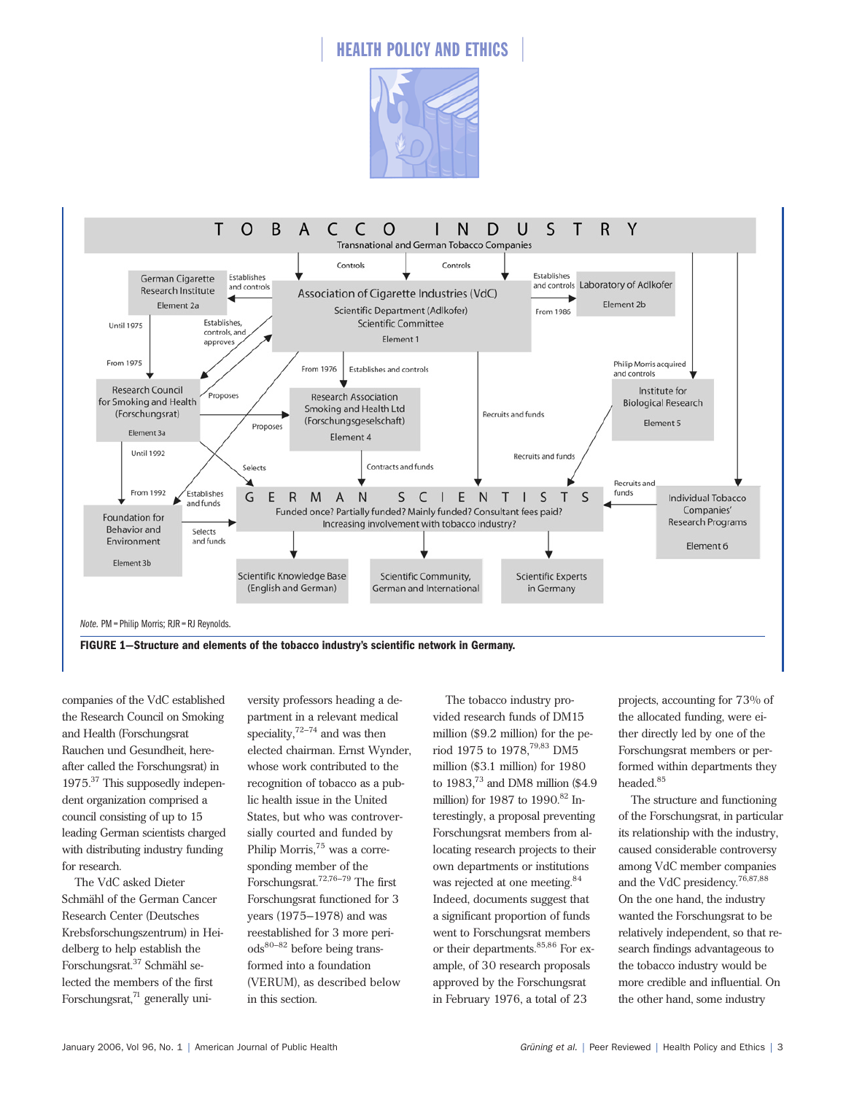



companies of the VdC established the Research Council on Smoking and Health (Forschungsrat Rauchen und Gesundheit, hereafter called the Forschungsrat) in 1975.37 This supposedly independent organization comprised a council consisting of up to 15 leading German scientists charged with distributing industry funding for research.

The VdC asked Dieter Schmähl of the German Cancer Research Center (Deutsches Krebsforschungszentrum) in Heidelberg to help establish the Forschungsrat.<sup>37</sup> Schmähl selected the members of the first Forschungsrat, $71$  generally uni-

versity professors heading a department in a relevant medical speciality, $72-74$  and was then elected chairman. Ernst Wynder, whose work contributed to the recognition of tobacco as a public health issue in the United States, but who was controversially courted and funded by Philip Morris,<sup>75</sup> was a corresponding member of the Forschungsrat.72,76–79 The first Forschungsrat functioned for 3 years (1975–1978) and was reestablished for 3 more periods80–82 before being transformed into a foundation (VERUM), as described below in this section.

The tobacco industry provided research funds of DM15 million (\$9.2 million) for the period 1975 to 1978,79,83 DM5 million (\$3.1 million) for 1980 to 1983,73 and DM8 million (\$4.9 million) for 1987 to  $1990.<sup>82</sup>$  Interestingly, a proposal preventing Forschungsrat members from allocating research projects to their own departments or institutions was rejected at one meeting.<sup>84</sup> Indeed, documents suggest that a significant proportion of funds went to Forschungsrat members or their departments.<sup>85,86</sup> For example, of 30 research proposals approved by the Forschungsrat in February 1976, a total of 23

projects, accounting for 73% of the allocated funding, were either directly led by one of the Forschungsrat members or performed within departments they headed.<sup>85</sup>

The structure and functioning of the Forschungsrat, in particular its relationship with the industry, caused considerable controversy among VdC member companies and the VdC presidency.76,87,88 On the one hand, the industry wanted the Forschungsrat to be relatively independent, so that research findings advantageous to the tobacco industry would be more credible and influential. On the other hand, some industry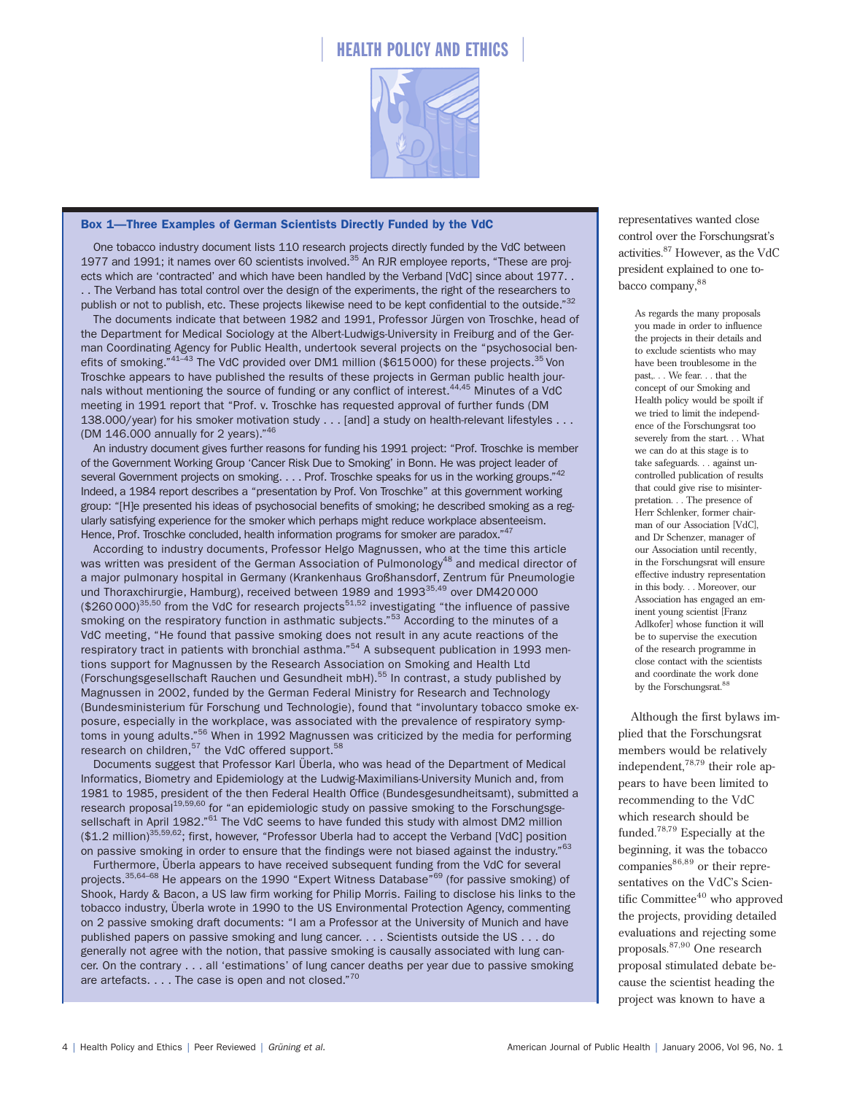

#### Box 1—Three Examples of German Scientists Directly Funded by the VdC

One tobacco industry document lists 110 research projects directly funded by the VdC between 1977 and 1991; it names over 60 scientists involved.<sup>35</sup> An RJR employee reports, "These are projects which are 'contracted' and which have been handled by the Verband [VdC] since about 1977. . . . The Verband has total control over the design of the experiments, the right of the researchers to publish or not to publish, etc. These projects likewise need to be kept confidential to the outside."<sup>32</sup>

The documents indicate that between 1982 and 1991, Professor Jürgen von Troschke, head of the Department for Medical Sociology at the Albert-Ludwigs-University in Freiburg and of the German Coordinating Agency for Public Health, undertook several projects on the "psychosocial benefits of smoking."<sup>41–43</sup> The VdC provided over DM1 million (\$615000) for these projects.<sup>35</sup> Von Troschke appears to have published the results of these projects in German public health journals without mentioning the source of funding or any conflict of interest.<sup>44,45</sup> Minutes of a VdC meeting in 1991 report that "Prof. v. Troschke has requested approval of further funds (DM 138.000/year) for his smoker motivation study . . . [and] a study on health-relevant lifestyles . . . (DM 146.000 annually for 2 years)."<sup>46</sup>

An industry document gives further reasons for funding his 1991 project: "Prof. Troschke is member of the Government Working Group 'Cancer Risk Due to Smoking' in Bonn. He was project leader of several Government projects on smoking. . . . Prof. Troschke speaks for us in the working groups."<sup>42</sup> Indeed, a 1984 report describes a "presentation by Prof. Von Troschke" at this government working group: "[H]e presented his ideas of psychosocial benefits of smoking; he described smoking as a regularly satisfying experience for the smoker which perhaps might reduce workplace absenteeism. Hence, Prof. Troschke concluded, health information programs for smoker are paradox."<sup>47</sup>

According to industry documents, Professor Helgo Magnussen, who at the time this article was written was president of the German Association of Pulmonology<sup>48</sup> and medical director of a major pulmonary hospital in Germany (Krankenhaus Großhansdorf, Zentrum für Pneumologie und Thoraxchirurgie, Hamburg), received between 1989 and 1993<sup>35,49</sup> over DM420000  $$3260000$ <sup>35,50</sup> from the VdC for research projects<sup>51,52</sup> investigating "the influence of passive smoking on the respiratory function in asthmatic subjects."<sup>53</sup> According to the minutes of a VdC meeting, "He found that passive smoking does not result in any acute reactions of the respiratory tract in patients with bronchial asthma."<sup>54</sup> A subsequent publication in 1993 mentions support for Magnussen by the Research Association on Smoking and Health Ltd (Forschungsgesellschaft Rauchen und Gesundheit mbH). $55$  In contrast, a study published by Magnussen in 2002, funded by the German Federal Ministry for Research and Technology (Bundesministerium für Forschung und Technologie), found that "involuntary tobacco smoke exposure, especially in the workplace, was associated with the prevalence of respiratory symptoms in young adults."<sup>56</sup> When in 1992 Magnussen was criticized by the media for performing research on children,  $57$  the VdC offered support.  $58$ 

Documents suggest that Professor Karl Überla, who was head of the Department of Medical Informatics, Biometry and Epidemiology at the Ludwig-Maximilians-University Munich and, from 1981 to 1985, president of the then Federal Health Office (Bundesgesundheitsamt), submitted a research proposal<sup>19,59,60</sup> for "an epidemiologic study on passive smoking to the Forschungsgesellschaft in April 1982."<sup>61</sup> The VdC seems to have funded this study with almost DM2 million (\$1.2 million)<sup>35,59,62</sup>; first, however, "Professor Uberla had to accept the Verband [VdC] position on passive smoking in order to ensure that the findings were not biased against the industry."<sup>63</sup>

Furthermore, Überla appears to have received subsequent funding from the VdC for several projects.<sup>35,64–68</sup> He appears on the 1990 "Expert Witness Database"<sup>69</sup> (for passive smoking) of Shook, Hardy & Bacon, a US law firm working for Philip Morris. Failing to disclose his links to the tobacco industry, Überla wrote in 1990 to the US Environmental Protection Agency, commenting on 2 passive smoking draft documents: "I am a Professor at the University of Munich and have published papers on passive smoking and lung cancer. . . . Scientists outside the US . . . do generally not agree with the notion, that passive smoking is causally associated with lung cancer. On the contrary . . . all 'estimations' of lung cancer deaths per year due to passive smoking are artefacts. . . . The case is open and not closed."<sup>70</sup>

representatives wanted close control over the Forschungsrat's activities.<sup>87</sup> However, as the VdC president explained to one tobacco company, 88

> As regards the many proposals you made in order to influence the projects in their details and to exclude scientists who may have been troublesome in the past,. . . We fear. . . that the concept of our Smoking and Health policy would be spoilt if we tried to limit the independence of the Forschungsrat too severely from the start. . . What we can do at this stage is to take safeguards. . . against uncontrolled publication of results that could give rise to misinterpretation. . . The presence of Herr Schlenker, former chairman of our Association [VdC], and Dr Schenzer, manager of our Association until recently, in the Forschungsrat will ensure effective industry representation in this body. . . Moreover, our Association has engaged an eminent young scientist [Franz Adlkofer] whose function it will be to supervise the execution of the research programme in close contact with the scientists and coordinate the work done by the Forschungsrat.<sup>8</sup>

Although the first bylaws implied that the Forschungsrat members would be relatively independent,78,79 their role appears to have been limited to recommending to the VdC which research should be funded.78,79 Especially at the beginning, it was the tobacco  $companies<sup>86,89</sup>$  or their representatives on the VdC's Scientific Committee $40$  who approved the projects, providing detailed evaluations and rejecting some proposals.87,90 One research proposal stimulated debate because the scientist heading the project was known to have a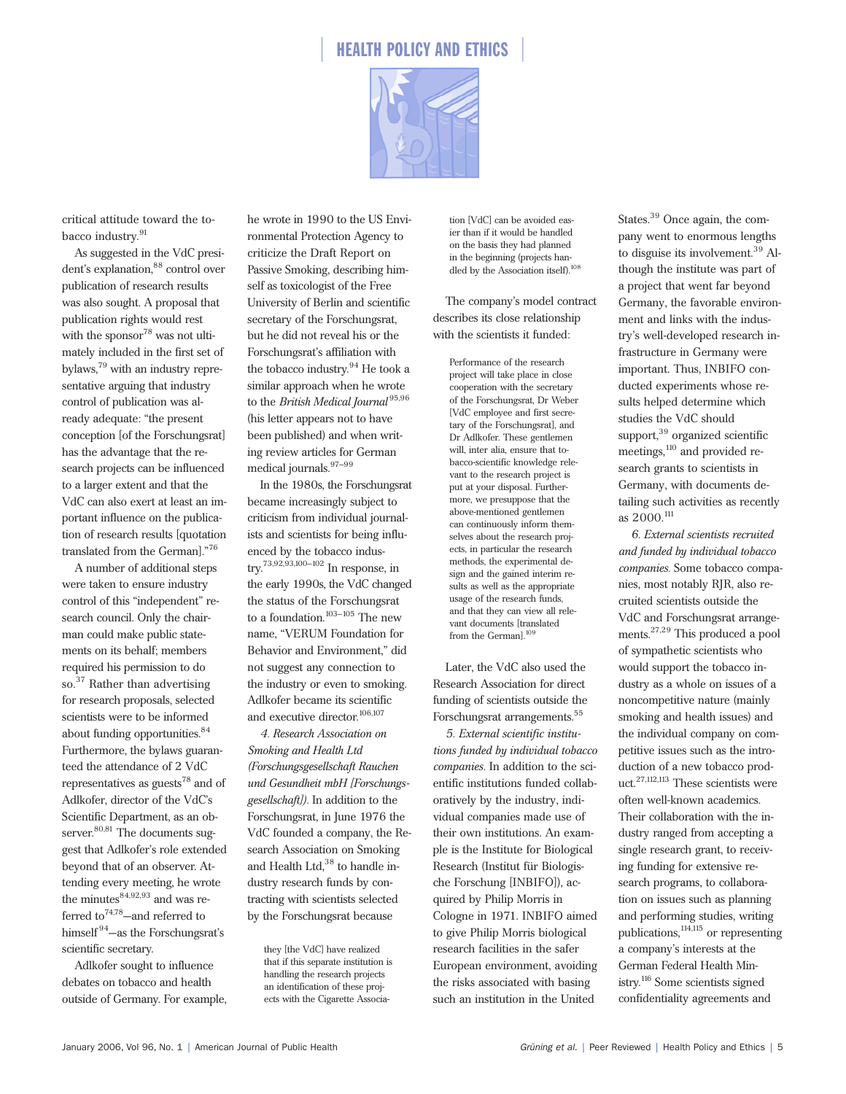



critical attitude toward the tobacco industry.<sup>91</sup>

As suggested in the VdC president's explanation, 88 control over publication of research results was also sought. A proposal that publication rights would rest with the sponsor<sup>78</sup> was not ultimately included in the first set of bylaws,<sup>79</sup> with an industry representative arguing that industry control of publication was already adequate: "the present conception [of the Forschungsrat] has the advantage that the research projects can be influenced to a larger extent and that the VdC can also exert at least an important influence on the publication of research results [quotation translated from the German]."<sup>76</sup>

A number of additional steps were taken to ensure industry control of this "independent" research council. Only the chairman could make public statements on its behalf; members required his permission to do so.<sup>37</sup> Rather than advertising for research proposals, selected scientists were to be informed about funding opportunities.<sup>84</sup> Furthermore, the bylaws guaranteed the attendance of 2 VdC representatives as guests<sup>78</sup> and of Adlkofer, director of the VdC's Scientific Department, as an observer.<sup>80,81</sup> The documents suggest that Adlkofer's role extended beyond that of an observer. Attending every meeting, he wrote the minutes $84,92,93$  and was referred to<sup>74,78</sup>—and referred to himself<sup>94</sup>—as the Forschungsrat's scientific secretary.

Adlkofer sought to influence debates on tobacco and health outside of Germany. For example,

he wrote in 1990 to the US Environmental Protection Agency to criticize the Draft Report on Passive Smoking, describing himself as toxicologist of the Free University of Berlin and scientific secretary of the Forschungsrat, but he did not reveal his or the Forschungsrat's affiliation with the tobacco industry.<sup>94</sup> He took a similar approach when he wrote to the *British Medical Journal*<sup>95,96</sup> (his letter appears not to have been published) and when writing review articles for German medical journals.<sup>97-99</sup>

In the 1980s, the Forschungsrat became increasingly subject to criticism from individual journalists and scientists for being influenced by the tobacco industry.73,92,93,100–102 In response, in the early 1990s, the VdC changed the status of the Forschungsrat to a foundation. $103-105$  The new name, "VERUM Foundation for Behavior and Environment," did not suggest any connection to the industry or even to smoking. Adlkofer became its scientific and executive director.<sup>106,107</sup>

*4. Research Association on Smoking and Health Ltd (Forschungsgesellschaft Rauchen und Gesundheit mbH [Forschungsgesellschaft]).* In addition to the Forschungsrat, in June 1976 the VdC founded a company, the Research Association on Smoking and Health Ltd,<sup>38</sup> to handle industry research funds by contracting with scientists selected by the Forschungsrat because

they [the VdC] have realized that if this separate institution is handling the research projects an identification of these projects with the Cigarette Association [VdC] can be avoided easier than if it would be handled on the basis they had planned in the beginning (projects han-<br>dled by the Association itself).<sup>108</sup>

The company's model contract describes its close relationship with the scientists it funded:

Performance of the research project will take place in close cooperation with the secretary of the Forschungsrat, Dr Weber [VdC employee and first secretary of the Forschungsrat], and Dr Adlkofer. These gentlemen will, inter alia, ensure that tobacco-scientific knowledge relevant to the research project is put at your disposal. Furthermore, we presuppose that the above-mentioned gentlemen can continuously inform themselves about the research projects, in particular the research methods, the experimental design and the gained interim results as well as the appropriate usage of the research funds, and that they can view all relevant documents [translated from the German].<sup>109</sup>

Later, the VdC also used the Research Association for direct funding of scientists outside the Forschungsrat arrangements.<sup>55</sup>

*5. External scientific institutions funded by individual tobacco companies.* In addition to the scientific institutions funded collaboratively by the industry, individual companies made use of their own institutions. An example is the Institute for Biological Research (Institut für Biologische Forschung [INBIFO]), acquired by Philip Morris in Cologne in 1971. INBIFO aimed to give Philip Morris biological research facilities in the safer European environment, avoiding the risks associated with basing such an institution in the United

States.<sup>39</sup> Once again, the company went to enormous lengths to disguise its involvement.<sup>39</sup> Although the institute was part of a project that went far beyond Germany, the favorable environment and links with the industry's well-developed research infrastructure in Germany were important. Thus, INBIFO conducted experiments whose results helped determine which studies the VdC should support,<sup>39</sup> organized scientific meetings,<sup>110</sup> and provided research grants to scientists in Germany, with documents detailing such activities as recently as 2000.<sup>111</sup>

*6. External scientists recruited and funded by individual tobacco companies.* Some tobacco companies, most notably RJR, also recruited scientists outside the VdC and Forschungsrat arrangements.27,29 This produced a pool of sympathetic scientists who would support the tobacco industry as a whole on issues of a noncompetitive nature (mainly smoking and health issues) and the individual company on competitive issues such as the introduction of a new tobacco product.27,112,113 These scientists were often well-known academics. Their collaboration with the industry ranged from accepting a single research grant, to receiving funding for extensive research programs, to collaboration on issues such as planning and performing studies, writing publications,114,115 or representing a company's interests at the German Federal Health Ministry.116 Some scientists signed confidentiality agreements and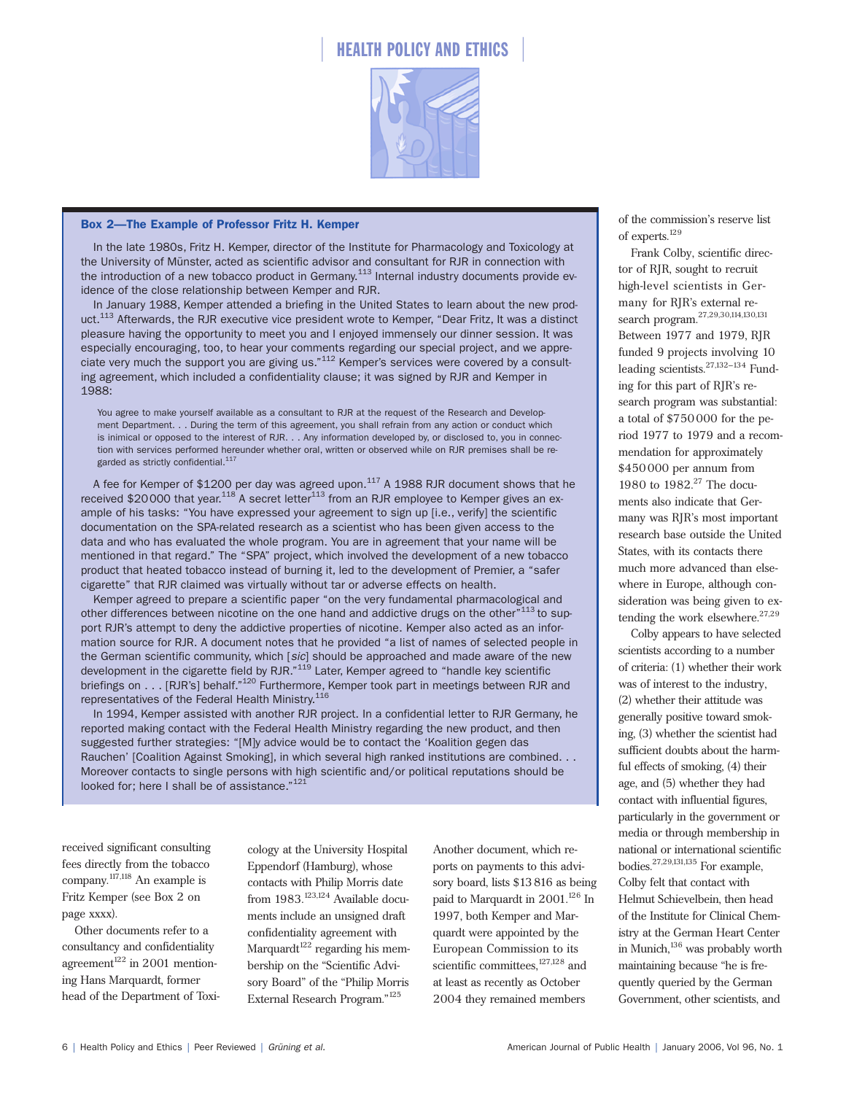

#### Box 2—The Example of Professor Fritz H. Kemper

In the late 1980s, Fritz H. Kemper, director of the Institute for Pharmacology and Toxicology at the University of Münster, acted as scientific advisor and consultant for RJR in connection with the introduction of a new tobacco product in Germany.<sup>113</sup> Internal industry documents provide evidence of the close relationship between Kemper and RJR.

In January 1988, Kemper attended a briefing in the United States to learn about the new product.<sup>113</sup> Afterwards, the RJR executive vice president wrote to Kemper, "Dear Fritz, It was a distinct pleasure having the opportunity to meet you and I enjoyed immensely our dinner session. It was especially encouraging, too, to hear your comments regarding our special project, and we appreciate very much the support you are giving us."<sup>112</sup> Kemper's services were covered by a consulting agreement, which included a confidentiality clause; it was signed by RJR and Kemper in 1988:

You agree to make yourself available as a consultant to RJR at the request of the Research and Development Department. . . During the term of this agreement, you shall refrain from any action or conduct which is inimical or opposed to the interest of RJR. . . Any information developed by, or disclosed to, you in connection with services performed hereunder whether oral, written or observed while on RJR premises shall be regarded as strictly confidential.<sup>117</sup>

A fee for Kemper of \$1200 per day was agreed upon. $117$  A 1988 RJR document shows that he received \$20000 that year.<sup>118</sup> A secret letter<sup>113</sup> from an RJR employee to Kemper gives an example of his tasks: "You have expressed your agreement to sign up [i.e., verify] the scientific documentation on the SPA-related research as a scientist who has been given access to the data and who has evaluated the whole program. You are in agreement that your name will be mentioned in that regard." The "SPA" project, which involved the development of a new tobacco product that heated tobacco instead of burning it, led to the development of Premier, a "safer cigarette" that RJR claimed was virtually without tar or adverse effects on health.

Kemper agreed to prepare a scientific paper "on the very fundamental pharmacological and other differences between nicotine on the one hand and addictive drugs on the other<sup>"113</sup> to support RJR's attempt to deny the addictive properties of nicotine. Kemper also acted as an information source for RJR. A document notes that he provided "a list of names of selected people in the German scientific community, which [*sic*] should be approached and made aware of the new development in the cigarette field by RJR."<sup>119</sup> Later, Kemper agreed to "handle key scientific briefings on . . . [RJR's] behalf."<sup>120</sup> Furthermore, Kemper took part in meetings between RJR and representatives of the Federal Health Ministry.<sup>116</sup>

In 1994, Kemper assisted with another RJR project. In a confidential letter to RJR Germany, he reported making contact with the Federal Health Ministry regarding the new product, and then suggested further strategies: "[M]y advice would be to contact the 'Koalition gegen das Rauchen' [Coalition Against Smoking], in which several high ranked institutions are combined. . . Moreover contacts to single persons with high scientific and/or political reputations should be looked for; here I shall be of assistance."<sup>121</sup>

received significant consulting fees directly from the tobacco company.117,118 An example is Fritz Kemper (see Box 2 on page xxxx).

Other documents refer to a consultancy and confidentiality agreement $122$  in 2001 mentioning Hans Marquardt, former head of the Department of Toxi-

cology at the University Hospital Eppendorf (Hamburg), whose contacts with Philip Morris date from 1983.<sup>123,124</sup> Available documents include an unsigned draft confidentiality agreement with Marquardt<sup>122</sup> regarding his membership on the "Scientific Advisory Board" of the "Philip Morris External Research Program."<sup>125</sup>

Another document, which reports on payments to this advisory board, lists \$13816 as being paid to Marquardt in 2001.<sup>126</sup> In 1997, both Kemper and Marquardt were appointed by the European Commission to its scientific committees,  $127,128$  and at least as recently as October 2004 they remained members

of the commission's reserve list of experts.<sup>129</sup>

Frank Colby, scientific director of RJR, sought to recruit high-level scientists in Germany for RJR's external research program.27,29,30,114,130,131 Between 1977 and 1979, RJR funded 9 projects involving 10 leading scientists.27,132–134 Funding for this part of RJR's research program was substantial: a total of \$750000 for the period 1977 to 1979 and a recommendation for approximately \$450000 per annum from 1980 to 1982.<sup>27</sup> The documents also indicate that Germany was RJR's most important research base outside the United States, with its contacts there much more advanced than elsewhere in Europe, although consideration was being given to extending the work elsewhere.<sup>27,29</sup>

Colby appears to have selected scientists according to a number of criteria: (1) whether their work was of interest to the industry, (2) whether their attitude was generally positive toward smoking, (3) whether the scientist had sufficient doubts about the harmful effects of smoking, (4) their age, and (5) whether they had contact with influential figures, particularly in the government or media or through membership in national or international scientific bodies.27,29,131,135 For example, Colby felt that contact with Helmut Schievelbein, then head of the Institute for Clinical Chemistry at the German Heart Center in Munich,<sup>136</sup> was probably worth maintaining because "he is frequently queried by the German Government, other scientists, and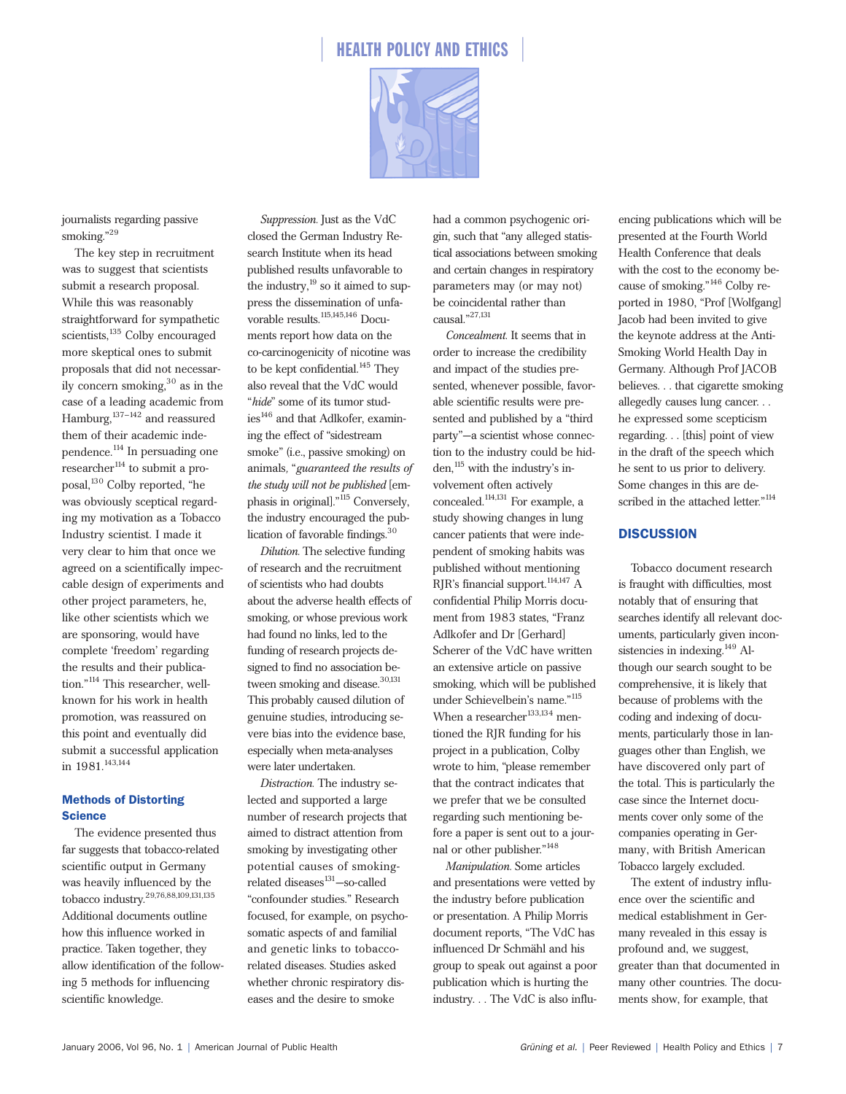



journalists regarding passive smoking."<sup>29</sup>

The key step in recruitment was to suggest that scientists submit a research proposal. While this was reasonably straightforward for sympathetic scientists,<sup>135</sup> Colby encouraged more skeptical ones to submit proposals that did not necessarily concern smoking, $30$  as in the case of a leading academic from Hamburg,  $137-142$  and reassured them of their academic independence.<sup>114</sup> In persuading one  $r$ esearcher<sup>114</sup> to submit a proposal,<sup>130</sup> Colby reported, "he was obviously sceptical regarding my motivation as a Tobacco Industry scientist. I made it very clear to him that once we agreed on a scientifically impeccable design of experiments and other project parameters, he, like other scientists which we are sponsoring, would have complete 'freedom' regarding the results and their publication."<sup>114</sup> This researcher, wellknown for his work in health promotion, was reassured on this point and eventually did submit a successful application in  $1981.<sup>143,144</sup>$ 

#### Methods of Distorting **Science**

The evidence presented thus far suggests that tobacco-related scientific output in Germany was heavily influenced by the tobacco industry.29,76,88,109,131,135 Additional documents outline how this influence worked in practice. Taken together, they allow identification of the following 5 methods for influencing scientific knowledge.

*Suppression.* Just as the VdC closed the German Industry Research Institute when its head published results unfavorable to the industry, $^{19}$  so it aimed to suppress the dissemination of unfavorable results. 115,145,146 Documents report how data on the co-carcinogenicity of nicotine was to be kept confidential.<sup>145</sup> They also reveal that the VdC would "*hide*" some of its tumor studies<sup>146</sup> and that Adlkofer, examining the effect of "sidestream smoke" (i.e., passive smoking) on animals*,* "*guaranteed the results of the study will not be published* [emphasis in original]."115 Conversely, the industry encouraged the publication of favorable findings.30

*Dilution.* The selective funding of research and the recruitment of scientists who had doubts about the adverse health effects of smoking, or whose previous work had found no links, led to the funding of research projects designed to find no association between smoking and disease.<sup>30,131</sup> This probably caused dilution of genuine studies, introducing severe bias into the evidence base, especially when meta-analyses were later undertaken.

*Distraction.* The industry selected and supported a large number of research projects that aimed to distract attention from smoking by investigating other potential causes of smokingrelated diseases<sup>131</sup>-so-called "confounder studies." Research focused, for example, on psychosomatic aspects of and familial and genetic links to tobaccorelated diseases. Studies asked whether chronic respiratory diseases and the desire to smoke

had a common psychogenic origin, such that "any alleged statistical associations between smoking and certain changes in respiratory parameters may (or may not) be coincidental rather than causal."27,131

*Concealment.* It seems that in order to increase the credibility and impact of the studies presented, whenever possible, favorable scientific results were presented and published by a "third party"—a scientist whose connection to the industry could be hidden,<sup>115</sup> with the industry's involvement often actively concealed.114,131 For example, a study showing changes in lung cancer patients that were independent of smoking habits was published without mentioning RJR's financial support.<sup>114,147</sup> A confidential Philip Morris document from 1983 states, "Franz Adlkofer and Dr [Gerhard] Scherer of the VdC have written an extensive article on passive smoking, which will be published under Schievelbein's name."<sup>115</sup> When a researcher $^{133,134}$  mentioned the RJR funding for his project in a publication, Colby wrote to him, "please remember that the contract indicates that we prefer that we be consulted regarding such mentioning before a paper is sent out to a journal or other publisher."148

*Manipulation.* Some articles and presentations were vetted by the industry before publication or presentation. A Philip Morris document reports, "The VdC has influenced Dr Schmähl and his group to speak out against a poor publication which is hurting the industry... The VdC is also influ-

encing publications which will be presented at the Fourth World Health Conference that deals with the cost to the economy because of smoking."146 Colby reported in 1980, "Prof [Wolfgang] Jacob had been invited to give the keynote address at the Anti-Smoking World Health Day in Germany. Although Prof JACOB believes. . . that cigarette smoking allegedly causes lung cancer. . . he expressed some scepticism regarding. . . [this] point of view in the draft of the speech which he sent to us prior to delivery. Some changes in this are described in the attached letter."114

### **DISCUSSION**

Tobacco document research is fraught with difficulties, most notably that of ensuring that searches identify all relevant documents, particularly given inconsistencies in indexing.<sup>149</sup> Although our search sought to be comprehensive, it is likely that because of problems with the coding and indexing of documents, particularly those in languages other than English, we have discovered only part of the total. This is particularly the case since the Internet documents cover only some of the companies operating in Germany, with British American Tobacco largely excluded.

The extent of industry influence over the scientific and medical establishment in Germany revealed in this essay is profound and, we suggest, greater than that documented in many other countries. The documents show, for example, that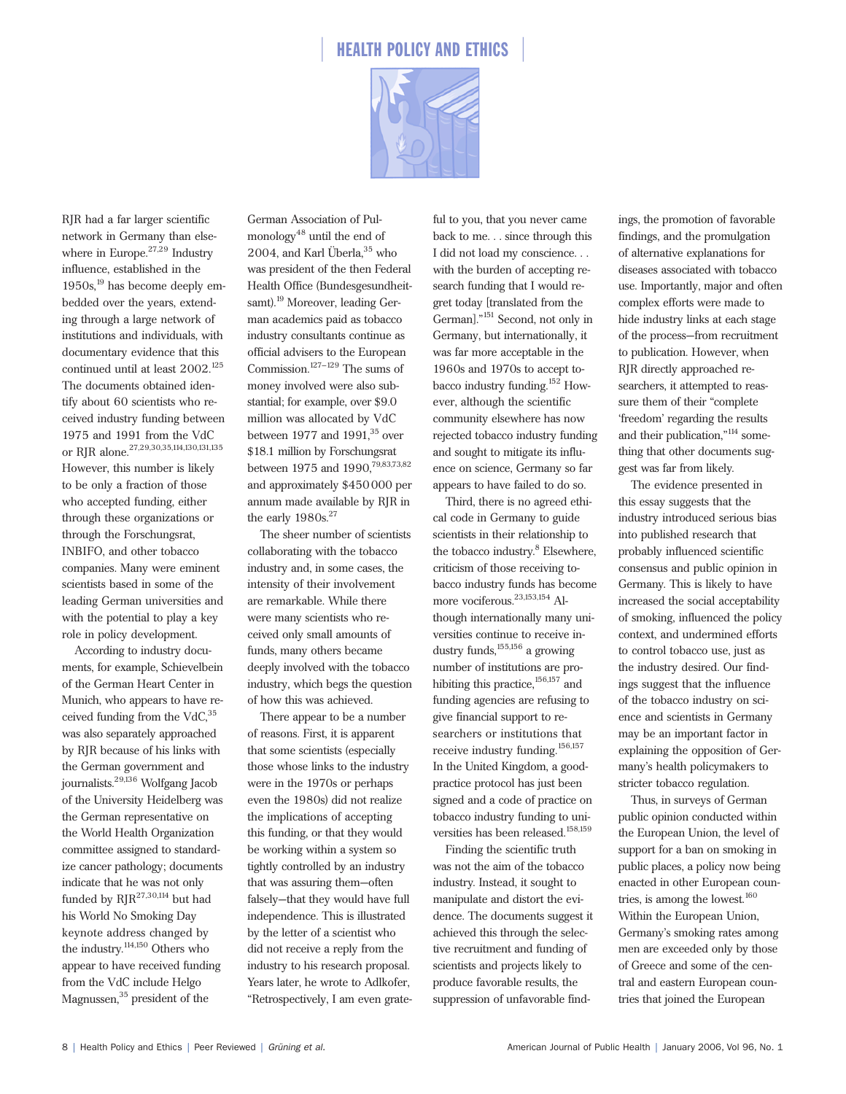



RJR had a far larger scientific network in Germany than elsewhere in Europe.<sup>27,29</sup> Industry influence, established in the 1950s,<sup>19</sup> has become deeply embedded over the years, extending through a large network of institutions and individuals, with documentary evidence that this continued until at least 2002.<sup>125</sup> The documents obtained identify about 60 scientists who received industry funding between 1975 and 1991 from the VdC or RJR alone.27,29,30,35,114,130,131,135 However, this number is likely to be only a fraction of those who accepted funding, either through these organizations or through the Forschungsrat, INBIFO, and other tobacco companies. Many were eminent scientists based in some of the leading German universities and with the potential to play a key role in policy development.

According to industry documents, for example, Schievelbein of the German Heart Center in Munich, who appears to have received funding from the  $VdC<sub>1</sub><sup>35</sup>$ was also separately approached by RJR because of his links with the German government and journalists.29,136 Wolfgang Jacob of the University Heidelberg was the German representative on the World Health Organization committee assigned to standardize cancer pathology; documents indicate that he was not only funded by  $RIR^{27,30,114}$  but had his World No Smoking Day keynote address changed by the industry.<sup>114,150</sup> Others who appear to have received funding from the VdC include Helgo Magnussen,<sup>35</sup> president of the

German Association of Pulmonology<sup>48</sup> until the end of 2004, and Karl Überla,<sup>35</sup> who was president of the then Federal Health Office (Bundesgesundheitsamt).<sup>19</sup> Moreover, leading German academics paid as tobacco industry consultants continue as official advisers to the European Commission.<sup>127–129</sup> The sums of money involved were also substantial; for example, over \$9.0 million was allocated by VdC between 1977 and  $1991<sup>35</sup>$  over \$18.1 million by Forschungsrat between 1975 and 1990,<sup>79,83,73,82</sup> and approximately \$450000 per annum made available by RJR in the early  $1980s.<sup>27</sup>$ 

The sheer number of scientists collaborating with the tobacco industry and, in some cases, the intensity of their involvement are remarkable. While there were many scientists who received only small amounts of funds, many others became deeply involved with the tobacco industry, which begs the question of how this was achieved.

There appear to be a number of reasons. First, it is apparent that some scientists (especially those whose links to the industry were in the 1970s or perhaps even the 1980s) did not realize the implications of accepting this funding, or that they would be working within a system so tightly controlled by an industry that was assuring them—often falsely—that they would have full independence. This is illustrated by the letter of a scientist who did not receive a reply from the industry to his research proposal. Years later, he wrote to Adlkofer, "Retrospectively, I am even grate-

ful to you, that you never came back to me. . . since through this I did not load my conscience. . . with the burden of accepting research funding that I would regret today [translated from the German]."151 Second, not only in Germany, but internationally, it was far more acceptable in the 1960s and 1970s to accept tobacco industry funding.<sup>152</sup> However, although the scientific community elsewhere has now rejected tobacco industry funding and sought to mitigate its influence on science, Germany so far appears to have failed to do so.

Third, there is no agreed ethical code in Germany to guide scientists in their relationship to the tobacco industry.<sup>8</sup> Elsewhere, criticism of those receiving tobacco industry funds has become more vociferous.<sup>23,153,154</sup> Although internationally many universities continue to receive industry funds,<sup>155,156</sup> a growing number of institutions are prohibiting this practice,  $156,157$  and funding agencies are refusing to give financial support to researchers or institutions that receive industry funding.<sup>156,157</sup> In the United Kingdom, a goodpractice protocol has just been signed and a code of practice on tobacco industry funding to universities has been released.<sup>158,159</sup>

Finding the scientific truth was not the aim of the tobacco industry. Instead, it sought to manipulate and distort the evidence. The documents suggest it achieved this through the selective recruitment and funding of scientists and projects likely to produce favorable results, the suppression of unfavorable findings, the promotion of favorable findings, and the promulgation of alternative explanations for diseases associated with tobacco use. Importantly, major and often complex efforts were made to hide industry links at each stage of the process—from recruitment to publication. However, when RJR directly approached researchers, it attempted to reassure them of their "complete 'freedom' regarding the results and their publication,"<sup>114</sup> something that other documents suggest was far from likely.

The evidence presented in this essay suggests that the industry introduced serious bias into published research that probably influenced scientific consensus and public opinion in Germany. This is likely to have increased the social acceptability of smoking, influenced the policy context, and undermined efforts to control tobacco use, just as the industry desired. Our findings suggest that the influence of the tobacco industry on science and scientists in Germany may be an important factor in explaining the opposition of Germany's health policymakers to stricter tobacco regulation.

Thus, in surveys of German public opinion conducted within the European Union, the level of support for a ban on smoking in public places, a policy now being enacted in other European countries, is among the lowest. $160$ Within the European Union, Germany's smoking rates among men are exceeded only by those of Greece and some of the central and eastern European countries that joined the European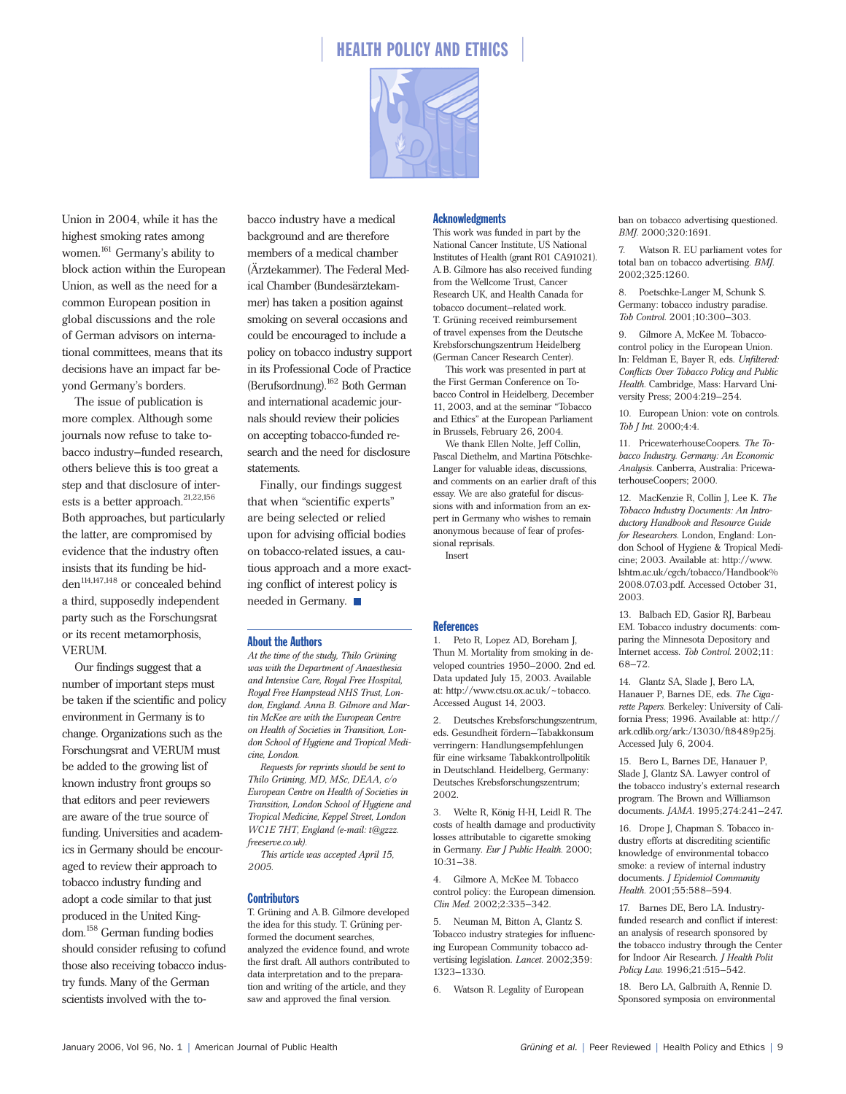

Union in 2004, while it has the highest smoking rates among women.<sup>161</sup> Germany's ability to block action within the European Union, as well as the need for a common European position in global discussions and the role of German advisors on international committees, means that its decisions have an impact far beyond Germany's borders.

The issue of publication is more complex. Although some journals now refuse to take tobacco industry–funded research, others believe this is too great a step and that disclosure of interests is a better approach.  $^{21,22,156}\,$ Both approaches, but particularly the latter, are compromised by evidence that the industry often insists that its funding be hidden<sup>114,147,148</sup> or concealed behind a third, supposedly independent party such as the Forschungsrat or its recent metamorphosis, VERUM.

Our findings suggest that a number of important steps must be taken if the scientific and policy environment in Germany is to change. Organizations such as the Forschungsrat and VERUM must be added to the growing list of known industry front groups so that editors and peer reviewers are aware of the true source of funding. Universities and academics in Germany should be encouraged to review their approach to tobacco industry funding and adopt a code similar to that just produced in the United Kingdom.158 German funding bodies should consider refusing to cofund those also receiving tobacco industry funds. Many of the German scientists involved with the to-

bacco industry have a medical background and are therefore members of a medical chamber (Ärztekammer). The Federal Medical Chamber (Bundesärztekammer) has taken a position against smoking on several occasions and could be encouraged to include a policy on tobacco industry support in its Professional Code of Practice (Berufsordnung).162 Both German and international academic journals should review their policies on accepting tobacco-funded research and the need for disclosure statements.

Finally, our findings suggest that when "scientific experts" are being selected or relied upon for advising official bodies on tobacco-related issues, a cautious approach and a more exacting conflict of interest policy is needed in Germany.

#### About the Authors

*At the time of the study, Thilo Grüning was with the Department of Anaesthesia and Intensive Care, Royal Free Hospital, Royal Free Hampstead NHS Trust, London, England. Anna B. Gilmore and Martin McKee are with the European Centre on Health of Societies in Transition, London School of Hygiene and Tropical Medicine, London.*

*Requests for reprints should be sent to Thilo Grüning, MD, MSc, DEAA, c/o European Centre on Health of Societies in Transition, London School of Hygiene and Tropical Medicine, Keppel Street, London WC1E 7HT, England (e-mail: t@gzzz. freeserve.co.uk).*

*This article was accepted April 15, 2005.*

#### **Contributors**

T. Grüning and A.B. Gilmore developed the idea for this study. T. Grüning performed the document searches, analyzed the evidence found, and wrote the first draft. All authors contributed to data interpretation and to the preparation and writing of the article, and they saw and approved the final version.

#### **Acknowledgments**

This work was funded in part by the National Cancer Institute, US National Institutes of Health (grant R01 CA91021). A.B. Gilmore has also received funding from the Wellcome Trust, Cancer Research UK, and Health Canada for tobacco document–related work. T. Grüning received reimbursement of travel expenses from the Deutsche Krebsforschungszentrum Heidelberg (German Cancer Research Center).

This work was presented in part at the First German Conference on Tobacco Control in Heidelberg, December 11, 2003, and at the seminar "Tobacco and Ethics" at the European Parliament in Brussels, February 26, 2004.

We thank Ellen Nolte, Jeff Collin, Pascal Diethelm, and Martina Pötschke-Langer for valuable ideas, discussions, and comments on an earlier draft of this essay. We are also grateful for discussions with and information from an expert in Germany who wishes to remain anonymous because of fear of professional reprisals.

Insert

#### References

1. Peto R, Lopez AD, Boreham J, Thun M. Mortality from smoking in developed countries 1950–2000. 2nd ed. Data updated July 15, 2003. Available at: http://www.ctsu.ox.ac.uk/~tobacco. Accessed August 14, 2003.

2. Deutsches Krebsforschungszentrum, eds. Gesundheit fördern—Tabakkonsum verringern: Handlungsempfehlungen für eine wirksame Tabakkontrollpolitik in Deutschland. Heidelberg, Germany: Deutsches Krebsforschungszentrum; 2002.

3. Welte R, König H-H, Leidl R. The costs of health damage and productivity losses attributable to cigarette smoking in Germany. *Eur J Public Health.* 2000; 10:31–38.

4. Gilmore A, McKee M. Tobacco control policy: the European dimension. *Clin Med.* 2002;2:335–342.

5. Neuman M, Bitton A, Glantz S. Tobacco industry strategies for influencing European Community tobacco advertising legislation. *Lancet.* 2002;359: 1323–1330.

6. Watson R. Legality of European

ban on tobacco advertising questioned. *BMJ.* 2000;320:1691.

7. Watson R. EU parliament votes for total ban on tobacco advertising. *BMJ.* 2002;325:1260.

8. Poetschke-Langer M, Schunk S. Germany: tobacco industry paradise. *Tob Control.* 2001;10:300–303.

9. Gilmore A, McKee M. Tobaccocontrol policy in the European Union. In: Feldman E, Bayer R, eds. *Unfiltered: Conflicts Over Tobacco Policy and Public Health.* Cambridge, Mass: Harvard University Press; 2004:219–254.

10. European Union: vote on controls. *Tob J Int.* 2000;4:4.

11. PricewaterhouseCoopers. *The Tobacco Industry. Germany: An Economic Analysis.* Canberra, Australia: PricewaterhouseCoopers; 2000.

12. MacKenzie R, Collin J, Lee K. *The Tobacco Industry Documents: An Introductory Handbook and Resource Guide for Researchers.* London, England: London School of Hygiene & Tropical Medicine; 2003. Available at: http://www. lshtm.ac.uk/cgch/tobacco/Handbook% 2008.07.03.pdf. Accessed October 31, 2003.

13. Balbach ED, Gasior RJ, Barbeau EM. Tobacco industry documents: comparing the Minnesota Depository and Internet access. *Tob Control.* 2002;11: 68–72.

14. Glantz SA, Slade J, Bero LA, Hanauer P, Barnes DE, eds. *The Cigarette Papers.* Berkeley: University of California Press; 1996. Available at: http:// ark.cdlib.org/ark:/13030/ft8489p25j. Accessed July 6, 2004.

15. Bero L, Barnes DE, Hanauer P, Slade J, Glantz SA. Lawyer control of the tobacco industry's external research program. The Brown and Williamson documents. *JAMA.* 1995;274:241–247.

16. Drope J, Chapman S. Tobacco industry efforts at discrediting scientific knowledge of environmental tobacco smoke: a review of internal industry documents. *J Epidemiol Community Health.* 2001;55:588–594.

17. Barnes DE, Bero LA. Industryfunded research and conflict if interest: an analysis of research sponsored by the tobacco industry through the Center for Indoor Air Research. *J Health Polit Policy Law.* 1996;21:515–542.

18. Bero LA, Galbraith A, Rennie D. Sponsored symposia on environmental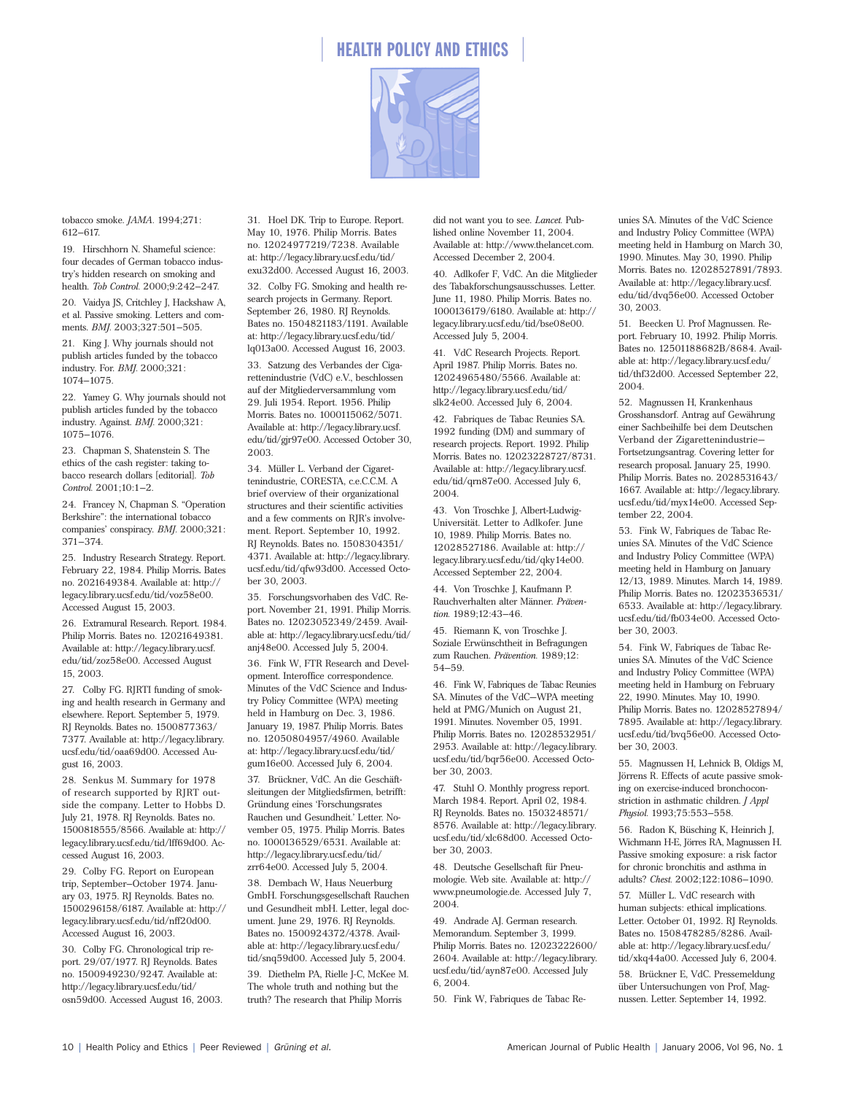



tobacco smoke. *JAMA.* 1994;271: 612–617.

19. Hirschhorn N. Shameful science: four decades of German tobacco industry's hidden research on smoking and health. *Tob Control.* 2000;9:242–247. 20. Vaidya JS, Critchley J, Hackshaw A,

et al. Passive smoking. Letters and comments. *BMJ.* 2003;327:501–505.

21. King J. Why journals should not publish articles funded by the tobacco industry. For. *BMJ.* 2000;321: 1074–1075.

22. Yamey G. Why journals should not publish articles funded by the tobacco industry. Against. *BMJ.* 2000;321: 1075–1076.

23. Chapman S, Shatenstein S. The ethics of the cash register: taking tobacco research dollars [editorial]. *Tob Control.* 2001;10:1–2.

24. Francey N, Chapman S. "Operation Berkshire": the international tobacco companies' conspiracy. *BMJ.* 2000;321: 371–374.

25. Industry Research Strategy. Report. February 22, 1984. Philip Morris**.** Bates no. 2021649384. Available at: http:// legacy.library.ucsf.edu/tid/voz58e00. Accessed August 15, 2003.

26. Extramural Research. Report. 1984. Philip Morris. Bates no. 12021649381. Available at: http://legacy.library.ucsf. edu/tid/zoz58e00. Accessed August 15, 2003.

27. Colby FG. RJRTI funding of smoking and health research in Germany and elsewhere. Report. September 5, 1979. RJ Reynolds. Bates no. 1500877363/ 7377. Available at: http://legacy.library. ucsf.edu/tid/oaa69d00. Accessed August 16, 2003.

28. Senkus M. Summary for 1978 of research supported by RJRT outside the company. Letter to Hobbs D. July 21, 1978. RJ Reynolds. Bates no. 1500818555/8566. Available at: http:// legacy.library.ucsf.edu/tid/lff69d00. Accessed August 16, 2003.

29. Colby FG. Report on European trip, September–October 1974. January 03, 1975. RJ Reynolds. Bates no. 1500296158/6187. Available at: http:// legacy.library.ucsf.edu/tid/nff20d00. Accessed August 16, 2003.

30. Colby FG. Chronological trip report. 29/07/1977. RJ Reynolds. Bates no. 1500949230/9247. Available at: http://legacy.library.ucsf.edu/tid/ osn59d00. Accessed August 16, 2003. 31. Hoel DK. Trip to Europe. Report. May 10, 1976. Philip Morris. Bates no. 12024977219/7238. Available at: http://legacy.library.ucsf.edu/tid/ exu32d00. Accessed August 16, 2003.

32. Colby FG. Smoking and health research projects in Germany. Report. September 26, 1980. RJ Reynolds. Bates no. 1504821183/1191. Available at: http://legacy.library.ucsf.edu/tid/ lq013a00. Accessed August 16, 2003.

33. Satzung des Verbandes der Cigarettenindustrie (VdC) e.V., beschlossen auf der Mitgliederversammlung vom 29. Juli 1954. Report. 1956. Philip Morris. Bates no. 1000115062/5071. Available at: http://legacy.library.ucsf. edu/tid/gjr97e00. Accessed October 30, 2003.

34. Müller L. Verband der Cigarettenindustrie, CORESTA, c.e.C.C.M. A brief overview of their organizational structures and their scientific activities and a few comments on RJR's involvement. Report. September 10, 1992. RJ Reynolds. Bates no. 1508304351/ 4371. Available at: http://legacy.library. ucsf.edu/tid/qfw93d00. Accessed October 30, 2003.

35. Forschungsvorhaben des VdC. Report. November 21, 1991. Philip Morris. Bates no. 12023052349/2459. Available at: http://legacy.library.ucsf.edu/tid/ anj48e00. Accessed July 5, 2004.

36. Fink W, FTR Research and Development. Interoffice correspondence. Minutes of the VdC Science and Industry Policy Committee (WPA) meeting held in Hamburg on Dec. 3, 1986. January 19, 1987. Philip Morris. Bates no. 12050804957/4960. Available at: http://legacy.library.ucsf.edu/tid/ gum16e00. Accessed July 6, 2004.

37. Brückner, VdC. An die Geschäftsleitungen der Mitgliedsfirmen, betrifft: Gründung eines 'Forschungsrates Rauchen und Gesundheit.' Letter. November 05, 1975. Philip Morris. Bates no. 1000136529/6531. Available at: http://legacy.library.ucsf.edu/tid/ zrr64e00. Accessed July 5, 2004.

38. Dembach W, Haus Neuerburg GmbH. Forschungsgesellschaft Rauchen und Gesundheit mbH. Letter, legal document. June 29, 1976. RJ Reynolds. Bates no. 1500924372/4378. Available at: http://legacy.library.ucsf.edu/ tid/snq59d00. Accessed July 5, 2004.

39. Diethelm PA, Rielle J-C, McKee M. The whole truth and nothing but the truth? The research that Philip Morris

did not want you to see. *Lancet.* Published online November 11, 2004. Available at: http://www.thelancet.com. Accessed December 2, 2004.

40. Adlkofer F, VdC. An die Mitglieder des Tabakforschungsausschusses. Letter. June 11, 1980. Philip Morris. Bates no. 1000136179/6180. Available at: http:// legacy.library.ucsf.edu/tid/bse08e00. Accessed July 5, 2004.

41. VdC Research Projects. Report. April 1987. Philip Morris. Bates no. 12024965480/5566. Available at: http://legacy.library.ucsf.edu/tid/ slk24e00. Accessed July 6, 2004.

42. Fabriques de Tabac Reunies SA. 1992 funding (DM) and summary of research projects. Report. 1992. Philip Morris. Bates no. 12023228727/8731. Available at: http://legacy.library.ucsf. edu/tid/qrn87e00. Accessed July 6, 2004.

43. Von Troschke J, Albert-Ludwig-Universität. Letter to Adlkofer. June 10, 1989. Philip Morris. Bates no. 12028527186. Available at: http:// legacy.library.ucsf.edu/tid/qky14e00. Accessed September 22, 2004.

44. Von Troschke J, Kaufmann P. Rauchverhalten alter Männer. *Präven*tion. 1989;12:43-46.

45. Riemann K, von Troschke J. Soziale Erwünschtheit in Befragungen zum Rauchen. *Prävention.* 1989;12: 54–59.

46. Fink W, Fabriques de Tabac Reunies SA. Minutes of the VdC—WPA meeting held at PMG/Munich on August 21, 1991. Minutes. November 05, 1991. Philip Morris. Bates no. 12028532951/ 2953. Available at: http://legacy.library. ucsf.edu/tid/bqr56e00. Accessed October 30, 2003.

47. Stuhl O. Monthly progress report. March 1984. Report. April 02, 1984. RJ Reynolds. Bates no. 1503248571/ 8576. Available at: http://legacy.library. ucsf.edu/tid/xlc68d00. Accessed October 30, 2003.

48. Deutsche Gesellschaft für Pneumologie. Web site. Available at: http:// www.pneumologie.de. Accessed July 7, 2004.

49. Andrade AJ. German research. Memorandum. September 3, 1999. Philip Morris. Bates no. 12023222600/ 2604. Available at: http://legacy.library. ucsf.edu/tid/ayn87e00. Accessed July 6, 2004.

50. Fink W, Fabriques de Tabac Re-

unies SA. Minutes of the VdC Science and Industry Policy Committee (WPA) meeting held in Hamburg on March 30, 1990. Minutes. May 30, 1990. Philip Morris. Bates no. 12028527891/7893. Available at: http://legacy.library.ucsf. edu/tid/dvq56e00. Accessed October 30, 2003.

51. Beecken U. Prof Magnussen. Report. February 10, 1992. Philip Morris. Bates no. 12501188682B/8684. Available at: http://legacy.library.ucsf.edu/ tid/thf32d00. Accessed September 22, 2004.

52. Magnussen H, Krankenhaus Grosshansdorf. Antrag auf Gewährung einer Sachbeihilfe bei dem Deutschen Verband der Zigarettenindustrie— Fortsetzungsantrag. Covering letter for research proposal**.** January 25, 1990. Philip Morris. Bates no. 2028531643/ 1667. Available at: http://legacy.library. ucsf.edu/tid/myx14e00. Accessed September 22, 2004.

53. Fink W, Fabriques de Tabac Reunies SA. Minutes of the VdC Science and Industry Policy Committee (WPA) meeting held in Hamburg on January 12/13, 1989. Minutes. March 14, 1989. Philip Morris. Bates no. 12023536531/ 6533. Available at: http://legacy.library. ucsf.edu/tid/fb034e00. Accessed October 30, 2003.

54. Fink W, Fabriques de Tabac Reunies SA. Minutes of the VdC Science and Industry Policy Committee (WPA) meeting held in Hamburg on February 22, 1990. Minutes. May 10, 1990. Philip Morris. Bates no. 12028527894/ 7895. Available at: http://legacy.library. ucsf.edu/tid/bvq56e00. Accessed October 30, 2003.

55. Magnussen H, Lehnick B, Oldigs M, Jörrens R. Effects of acute passive smoking on exercise-induced bronchoconstriction in asthmatic children. *J Appl Physiol.* 1993;75:553–558.

56. Radon K, Büsching K, Heinrich J, Wichmann H-E, Jörres RA, Magnussen H. Passive smoking exposure: a risk factor for chronic bronchitis and asthma in adults? *Chest.* 2002;122:1086–1090.

57. Müller L. VdC research with human subjects: ethical implications. Letter. October 01, 1992. RJ Reynolds. Bates no. 1508478285/8286. Available at: http://legacy.library.ucsf.edu/ tid/xkq44a00. Accessed July 6, 2004.

58. Brückner E, VdC. Pressemeldung über Untersuchungen von Prof, Magnussen. Letter. September 14, 1992.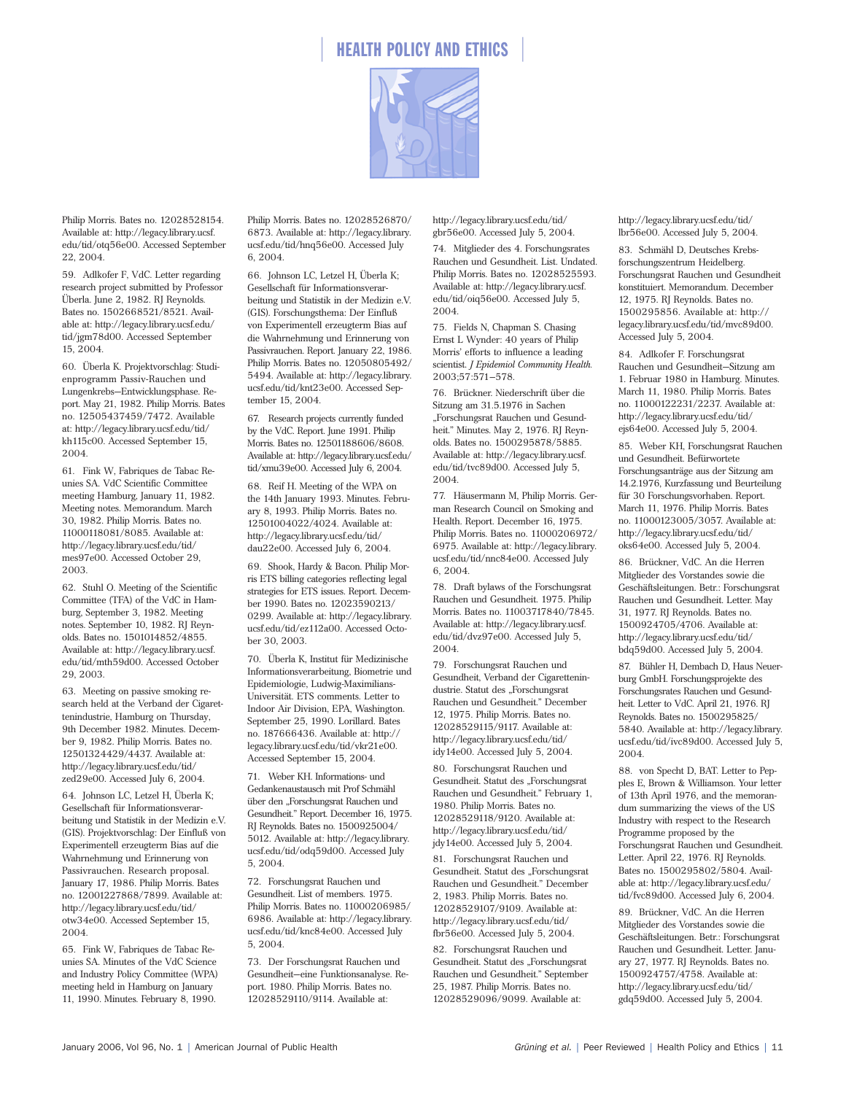

Philip Morris. Bates no. 12028528154. Available at: http://legacy.library.ucsf. edu/tid/otq56e00. Accessed September 22, 2004.

59. Adlkofer F, VdC. Letter regarding research project submitted by Professor Überla. June 2, 1982. RJ Reynolds. Bates no. 1502668521/8521. Available at: http://legacy.library.ucsf.edu/ tid/jgm78d00. Accessed September 15, 2004.

60. Überla K. Projektvorschlag: Studienprogramm Passiv-Rauchen und Lungenkrebs—Entwicklungsphase. Report. May 21, 1982. Philip Morris. Bates no. 12505437459/7472. Available at: http://legacy.library.ucsf.edu/tid/ kh115c00. Accessed September 15, 2004.

61. Fink W, Fabriques de Tabac Reunies SA. VdC Scientific Committee meeting Hamburg, January 11, 1982. Meeting notes. Memorandum. March 30, 1982. Philip Morris. Bates no. 11000118081/8085. Available at: http://legacy.library.ucsf.edu/tid/ mes97e00. Accessed October 29, 2003.

62. Stuhl O. Meeting of the Scientific Committee (TFA) of the VdC in Hamburg, September 3, 1982. Meeting notes. September 10, 1982. RJ Reynolds. Bates no. 1501014852/4855. Available at: http://legacy.library.ucsf. edu/tid/mth59d00. Accessed October 29, 2003.

63. Meeting on passive smoking research held at the Verband der Cigarettenindustrie, Hamburg on Thursday, 9th December 1982. Minutes. December 9, 1982. Philip Morris. Bates no. 12501324429/4437. Available at: http://legacy.library.ucsf.edu/tid/ zed29e00. Accessed July 6, 2004.

64. Johnson LC, Letzel H, Überla K; Gesellschaft für Informationsverarbeitung und Statistik in der Medizin e.V. (GIS). Projektvorschlag: Der Einfluß von Experimentell erzeugterm Bias auf die Wahrnehmung und Erinnerung von Passivrauchen. Research proposal. January 17, 1986. Philip Morris. Bates no. 12001227868/7899. Available at: http://legacy.library.ucsf.edu/tid/ otw34e00. Accessed September 15, 2004.

65. Fink W, Fabriques de Tabac Reunies SA. Minutes of the VdC Science and Industry Policy Committee (WPA) meeting held in Hamburg on January 11, 1990. Minutes. February 8, 1990.

Philip Morris. Bates no. 12028526870/ 6873. Available at: http://legacy.library. ucsf.edu/tid/hnq56e00. Accessed July 6, 2004.

66. Johnson LC, Letzel H, Überla K; Gesellschaft für Informationsverarbeitung und Statistik in der Medizin e.V. (GIS). Forschungsthema: Der Einfluß von Experimentell erzeugterm Bias auf die Wahrnehmung und Erinnerung von Passivrauchen. Report. January 22, 1986. Philip Morris. Bates no. 12050805492/ 5494. Available at: http://legacy.library. ucsf.edu/tid/knt23e00. Accessed September 15, 2004.

67. Research projects currently funded by the VdC. Report. June 1991. Philip Morris. Bates no. 12501188606/8608. Available at: http://legacy.library.ucsf.edu/ tid/xmu39e00. Accessed July 6, 2004.

68. Reif H. Meeting of the WPA on the 14th January 1993. Minutes. February 8, 1993. Philip Morris. Bates no. 12501004022/4024. Available at: http://legacy.library.ucsf.edu/tid/ dau22e00. Accessed July 6, 2004.

69. Shook, Hardy & Bacon. Philip Morris ETS billing categories reflecting legal strategies for ETS issues. Report. December 1990. Bates no. 12023590213/ 0299. Available at: http://legacy.library. ucsf.edu/tid/ez112a00. Accessed October 30, 2003.

70. Überla K, Institut für Medizinische Informationsverarbeitung, Biometrie und Epidemiologie, Ludwig-Maximilians-Universität. ETS comments. Letter to Indoor Air Division, EPA, Washington. September 25, 1990. Lorillard. Bates no. 187666436. Available at: http:// legacy.library.ucsf.edu/tid/vkr21e00. Accessed September 15, 2004.

71. Weber KH. Informations- und Gedankenaustausch mit Prof Schmähl über den "Forschungsrat Rauchen und Gesundheit." Report. December 16, 1975. RJ Reynolds. Bates no. 1500925004/ 5012. Available at: http://legacy.library. ucsf.edu/tid/odq59d00. Accessed July 5, 2004.

72. Forschungsrat Rauchen und Gesundheit. List of members. 1975. Philip Morris. Bates no. 11000206985/ 6986. Available at: http://legacy.library. ucsf.edu/tid/knc84e00. Accessed July 5, 2004.

73. Der Forschungsrat Rauchen und Gesundheit—eine Funktionsanalyse. Report. 1980. Philip Morris. Bates no. 12028529110/9114. Available at:

http://legacy.library.ucsf.edu/tid/ gbr56e00. Accessed July 5, 2004.

74. Mitglieder des 4. Forschungsrates Rauchen und Gesundheit. List. Undated. Philip Morris. Bates no. 12028525593. Available at: http://legacy.library.ucsf. edu/tid/oiq56e00. Accessed July 5, 2004.

75. Fields N, Chapman S. Chasing Ernst L Wynder: 40 years of Philip Morris' efforts to influence a leading scientist. *J Epidemiol Community Health.* 2003;57:571–578.

76. Brückner. Niederschrift über die Sitzung am 31.5.1976 in Sachen "Forschungsrat Rauchen und Gesundheit." Minutes. May 2, 1976. RJ Reynolds. Bates no. 1500295878/5885. Available at: http://legacy.library.ucsf. edu/tid/tvc89d00. Accessed July 5, 2004.

77. Häusermann M, Philip Morris. German Research Council on Smoking and Health. Report. December 16, 1975. Philip Morris. Bates no. 11000206972/ 6975. Available at: http://legacy.library. ucsf.edu/tid/nnc84e00. Accessed July 6, 2004.

78. Draft bylaws of the Forschungsrat Rauchen und Gesundheit. 1975. Philip Morris. Bates no. 11003717840/7845. Available at: http://legacy.library.ucsf. edu/tid/dvz97e00. Accessed July 5, 2004.

79. Forschungsrat Rauchen und Gesundheit, Verband der Cigarettenindustrie. Statut des "Forschungsrat Rauchen und Gesundheit." December 12, 1975. Philip Morris. Bates no. 12028529115/9117. Available at: http://legacy.library.ucsf.edu/tid/ idy14e00. Accessed July 5, 2004.

80. Forschungsrat Rauchen und Gesundheit. Statut des "Forschungsrat Rauchen und Gesundheit." February 1, 1980. Philip Morris. Bates no. 12028529118/9120. Available at: http://legacy.library.ucsf.edu/tid/ jdy14e00. Accessed July 5, 2004.

81. Forschungsrat Rauchen und Gesundheit. Statut des "Forschungsrat Rauchen und Gesundheit." December 2, 1983. Philip Morris. Bates no. 12028529107/9109. Available at: http://legacy.library.ucsf.edu/tid/ fbr56e00. Accessed July 5, 2004.

82. Forschungsrat Rauchen und Gesundheit. Statut des "Forschungsrat Rauchen und Gesundheit." September 25, 1987. Philip Morris. Bates no. 12028529096/9099. Available at:

http://legacy.library.ucsf.edu/tid/ lbr56e00. Accessed July 5, 2004.

83. Schmähl D, Deutsches Krebsforschungszentrum Heidelberg. Forschungsrat Rauchen und Gesundheit konstituiert. Memorandum. December 12, 1975. RJ Reynolds. Bates no. 1500295856. Available at: http:// legacy.library.ucsf.edu/tid/mvc89d00. Accessed July 5, 2004.

84. Adlkofer F. Forschungsrat Rauchen und Gesundheit—Sitzung am 1. Februar 1980 in Hamburg. Minutes. March 11, 1980. Philip Morris. Bates no. 11000122231/2237. Available at: http://legacy.library.ucsf.edu/tid/ ejs64e00. Accessed July 5, 2004.

85. Weber KH, Forschungsrat Rauchen und Gesundheit. Befürwortete Forschungsanträge aus der Sitzung am 14.2.1976, Kurzfassung und Beurteilung für 30 Forschungsvorhaben. Report. March 11, 1976. Philip Morris. Bates no. 11000123005/3057. Available at: http://legacy.library.ucsf.edu/tid/ oks64e00. Accessed July 5, 2004.

86. Brückner, VdC. An die Herren Mitglieder des Vorstandes sowie die Geschäftsleitungen. Betr.: Forschungsrat Rauchen und Gesundheit. Letter. May 31, 1977. RJ Reynolds. Bates no. 1500924705/4706. Available at: http://legacy.library.ucsf.edu/tid/ bdq59d00. Accessed July 5, 2004.

87. Bühler H, Dembach D, Haus Neuerburg GmbH. Forschungsprojekte des Forschungsrates Rauchen und Gesundheit. Letter to VdC. April 21, 1976. RJ Reynolds. Bates no. 1500295825/ 5840. Available at: http://legacy.library. ucsf.edu/tid/ivc89d00. Accessed July 5, 2004.

88. von Specht D, BAT. Letter to Pepples E, Brown & Williamson. Your letter of 13th April 1976, and the memorandum summarizing the views of the US Industry with respect to the Research Programme proposed by the Forschungsrat Rauchen und Gesundheit. Letter. April 22, 1976. RJ Reynolds. Bates no. 1500295802/5804. Available at: http://legacy.library.ucsf.edu/ tid/fvc89d00. Accessed July 6, 2004.

89. Brückner, VdC. An die Herren Mitglieder des Vorstandes sowie die Geschäftsleitungen. Betr.: Forschungsrat Rauchen und Gesundheit. Letter. January 27, 1977. RJ Reynolds. Bates no. 1500924757/4758. Available at: http://legacy.library.ucsf.edu/tid/ gdq59d00. Accessed July 5, 2004.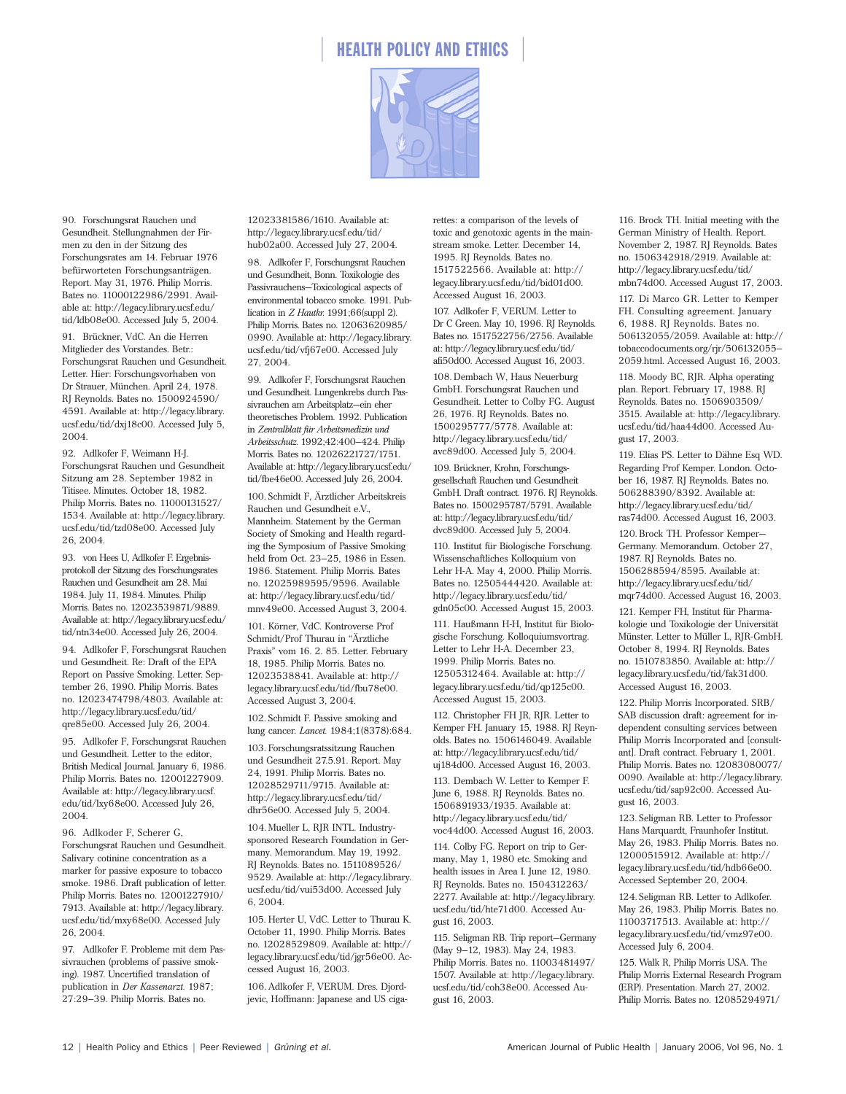

90. Forschungsrat Rauchen und Gesundheit. Stellungnahmen der Firmen zu den in der Sitzung des Forschungsrates am 14. Februar 1976 befürworteten Forschungsanträgen. Report. May 31, 1976. Philip Morris. Bates no. 11000122986/2991. Available at: http://legacy.library.ucsf.edu/ tid/ldb08e00. Accessed July 5, 2004.

91. Brückner, VdC. An die Herren Mitglieder des Vorstandes. Betr.: Forschungsrat Rauchen und Gesundheit. Letter. Hier: Forschungsvorhaben von Dr Strauer, München. April 24, 1978. RJ Reynolds. Bates no. 1500924590/ 4591. Available at: http://legacy.library. ucsf.edu/tid/dxj18c00. Accessed July 5, 2004.

92. Adlkofer F, Weimann H-J. Forschungsrat Rauchen und Gesundheit Sitzung am 28. September 1982 in Titisee. Minutes. October 18, 1982. Philip Morris. Bates no. 11000131527/ 1534. Available at: http://legacy.library. ucsf.edu/tid/tzd08e00. Accessed July 26, 2004.

93. von Hees U, Adlkofer F. Ergebnisprotokoll der Sitzung des Forschungsrates Rauchen und Gesundheit am 28. Mai 1984. July 11, 1984. Minutes. Philip Morris. Bates no. 12023539871/9889. Available at: http://legacy.library.ucsf.edu/ tid/ntn34e00. Accessed July 26, 2004.

94. Adlkofer F, Forschungsrat Rauchen und Gesundheit. Re: Draft of the EPA Report on Passive Smoking. Letter. September 26, 1990. Philip Morris. Bates no. 12023474798/4803. Available at: http://legacy.library.ucsf.edu/tid/ qre85e00. Accessed July 26, 2004.

95. Adlkofer F, Forschungsrat Rauchen und Gesundheit. Letter to the editor, British Medical Journal. January 6, 1986. Philip Morris. Bates no. 12001227909. Available at: http://legacy.library.ucsf. edu/tid/lxy68e00. Accessed July 26, 2004.

96. Adlkoder F, Scherer G, Forschungsrat Rauchen und Gesundheit. Salivary cotinine concentration as a marker for passive exposure to tobacco smoke. 1986. Draft publication of letter. Philip Morris. Bates no. 12001227910/ 7913. Available at: http://legacy.library. ucsf.edu/tid/mxy68e00. Accessed July 26, 2004.

97. Adlkofer F. Probleme mit dem Passivrauchen (problems of passive smoking). 1987. Uncertified translation of publication in *Der Kassenarzt.* 1987; 27:29–39. Philip Morris. Bates no.

12023381586/1610. Available at: http://legacy.library.ucsf.edu/tid/ hub02a00. Accessed July 27, 2004.

98. Adlkofer F, Forschungsrat Rauchen und Gesundheit, Bonn. Toxikologie des Passivrauchens—Toxicological aspects of environmental tobacco smoke. 1991. Publication in *Z Hautkr.* 1991;66(suppl 2). Philip Morris. Bates no. 12063620985/ 0990. Available at: http://legacy.library. ucsf.edu/tid/vfj67e00. Accessed July 27, 2004.

99. Adlkofer F, Forschungsrat Rauchen und Gesundheit. Lungenkrebs durch Passivrauchen am Arbeitsplatz—ein eher theoretisches Problem. 1992. Publication in *Zentralblatt für Arbeitsmedizin und Arbeitsschutz.* 1992;42:400–424. Philip Morris. Bates no. 12026221727/1751. Available at: http://legacy.library.ucsf.edu/ tid/fbe46e00. Accessed July 26, 2004.

100. Schmidt F, Ärztlicher Arbeitskreis Rauchen und Gesundheit e.V., Mannheim. Statement by the German Society of Smoking and Health regarding the Symposium of Passive Smoking held from Oct. 23–25, 1986 in Essen. 1986. Statement. Philip Morris. Bates no. 12025989595/9596. Available at: http://legacy.library.ucsf.edu/tid/ mnv49e00. Accessed August 3, 2004.

101. Körner, VdC. Kontroverse Prof Schmidt/Prof Thurau in "Ärztliche Praxis" vom 16. 2. 85. Letter. February 18, 1985. Philip Morris. Bates no. 12023538841. Available at: http:// legacy.library.ucsf.edu/tid/fbu78e00. Accessed August 3, 2004.

102. Schmidt F. Passive smoking and lung cancer. *Lancet.* 1984;1(8378):684.

103. Forschungsratssitzung Rauchen und Gesundheit 27.5.91. Report. May 24, 1991. Philip Morris. Bates no. 12028529711/9715. Available at: http://legacy.library.ucsf.edu/tid/ dhr56e00. Accessed July 5, 2004.

104. Mueller L, RJR INTL. Industrysponsored Research Foundation in Germany. Memorandum. May 19, 1992. RJ Reynolds. Bates no. 1511089526/ 9529. Available at: http://legacy.library. ucsf.edu/tid/vui53d00. Accessed July 6, 2004.

105. Herter U, VdC. Letter to Thurau K. October 11, 1990. Philip Morris. Bates no. 12028529809. Available at: http:// legacy.library.ucsf.edu/tid/jgr56e00. Accessed August 16, 2003.

106. Adlkofer F, VERUM. Dres. Djordjevic, Hoffmann: Japanese and US cigarettes: a comparison of the levels of toxic and genotoxic agents in the mainstream smoke. Letter. December 14, 1995. RJ Reynolds. Bates no. 1517522566. Available at: http:// legacy.library.ucsf.edu/tid/bid01d00. Accessed August 16, 2003.

107. Adlkofer F, VERUM. Letter to Dr C Green. May 10, 1996. RJ Reynolds. Bates no. 1517522756/2756. Available at: http://legacy.library.ucsf.edu/tid/ afi50d00. Accessed August 16, 2003.

108. Dembach W, Haus Neuerburg GmbH. Forschungsrat Rauchen und Gesundheit. Letter to Colby FG. August 26, 1976. RJ Reynolds. Bates no. 1500295777/5778. Available at: http://legacy.library.ucsf.edu/tid/ avc89d00. Accessed July 5, 2004.

109. Brückner, Krohn, Forschungsgesellschaft Rauchen und Gesundheit GmbH. Draft contract. 1976. RJ Reynolds. Bates no. 1500295787/5791. Available at: http://legacy.library.ucsf.edu/tid/ dvc89d00. Accessed July 5, 2004.

110. Institut für Biologische Forschung. Wissenschaftliches Kolloquium von Lehr H-A. May 4, 2000. Philip Morris. Bates no. 12505444420. Available at: http://legacy.library.ucsf.edu/tid/ gdn05c00. Accessed August 15, 2003.

111. Haußmann H-H, Institut für Biologische Forschung. Kolloquiumsvortrag. Letter to Lehr H-A. December 23, 1999. Philip Morris. Bates no. 12505312464. Available at: http:// legacy.library.ucsf.edu/tid/qp125c00. Accessed August 15, 2003.

112. Christopher FH JR, RJR. Letter to Kemper FH. January 15, 1988. RJ Reynolds. Bates no. 1506146049. Available at: http://legacy.library.ucsf.edu/tid/ uj184d00. Accessed August 16, 2003. 113. Dembach W. Letter to Kemper F. June 6, 1988. RJ Reynolds. Bates no. 1506891933/1935. Available at: http://legacy.library.ucsf.edu/tid/ voc44d00. Accessed August 16, 2003.

114. Colby FG. Report on trip to Germany, May 1, 1980 etc. Smoking and health issues in Area I. June 12, 1980. RJ Reynolds**.** Bates no. 1504312263/ 2277. Available at: http://legacy.library. ucsf.edu/tid/hte71d00. Accessed August 16, 2003.

115. Seligman RB. Trip report—Germany (May 9–12, 1983). May 24, 1983. Philip Morris. Bates no. 11003481497/ 1507. Available at: http://legacy.library. ucsf.edu/tid/coh38e00. Accessed August 16, 2003.

116. Brock TH. Initial meeting with the German Ministry of Health. Report. November 2, 1987. RJ Reynolds. Bates no. 1506342918/2919. Available at: http://legacy.library.ucsf.edu/tid/ mbn74d00. Accessed August 17, 2003.

117. Di Marco GR. Letter to Kemper FH. Consulting agreement. January 6, 1988. RJ Reynolds. Bates no. 506132055/2059. Available at: http:// tobaccodocuments.org/rjr/506132055– 2059.html. Accessed August 16, 2003.

118. Moody BC, RJR. Alpha operating plan. Report. February 17, 1988. RJ Reynolds. Bates no. 1506903509/ 3515. Available at: http://legacy.library. ucsf.edu/tid/haa44d00. Accessed August 17, 2003.

119. Elias PS. Letter to Dähne Esq WD. Regarding Prof Kemper. London. October 16, 1987. RJ Reynolds. Bates no. 506288390/8392. Available at: http://legacy.library.ucsf.edu/tid/ ras74d00. Accessed August 16, 2003.

120. Brock TH. Professor Kemper— Germany. Memorandum. October 27, 1987. RJ Reynolds. Bates no. 1506288594/8595. Available at: http://legacy.library.ucsf.edu/tid/ mqr74d00. Accessed August 16, 2003.

121. Kemper FH, Institut für Pharmakologie und Toxikologie der Universität Münster. Letter to Müller L, RJR-GmbH. October 8, 1994. RJ Reynolds. Bates no. 1510783850. Available at: http:// legacy.library.ucsf.edu/tid/fak31d00. Accessed August 16, 2003.

122. Philip Morris Incorporated. SRB/ SAB discussion draft: agreement for independent consulting services between Philip Morris Incorporated and [consultant]. Draft contract. February 1, 2001. Philip Morris. Bates no. 12083080077/ 0090. Available at: http://legacy.library. ucsf.edu/tid/sap92c00. Accessed August 16, 2003.

123. Seligman RB. Letter to Professor Hans Marquardt, Fraunhofer Institut. May 26, 1983. Philip Morris. Bates no. 12000515912. Available at: http:// legacy.library.ucsf.edu/tid/hdb66e00. Accessed September 20, 2004.

124. Seligman RB. Letter to Adlkofer. May 26, 1983. Philip Morris. Bates no. 11003717513. Available at: http:// legacy.library.ucsf.edu/tid/vmz97e00. Accessed July 6, 2004.

125. Walk R, Philip Morris USA. The Philip Morris External Research Program (ERP). Presentation. March 27, 2002. Philip Morris. Bates no. 12085294971/